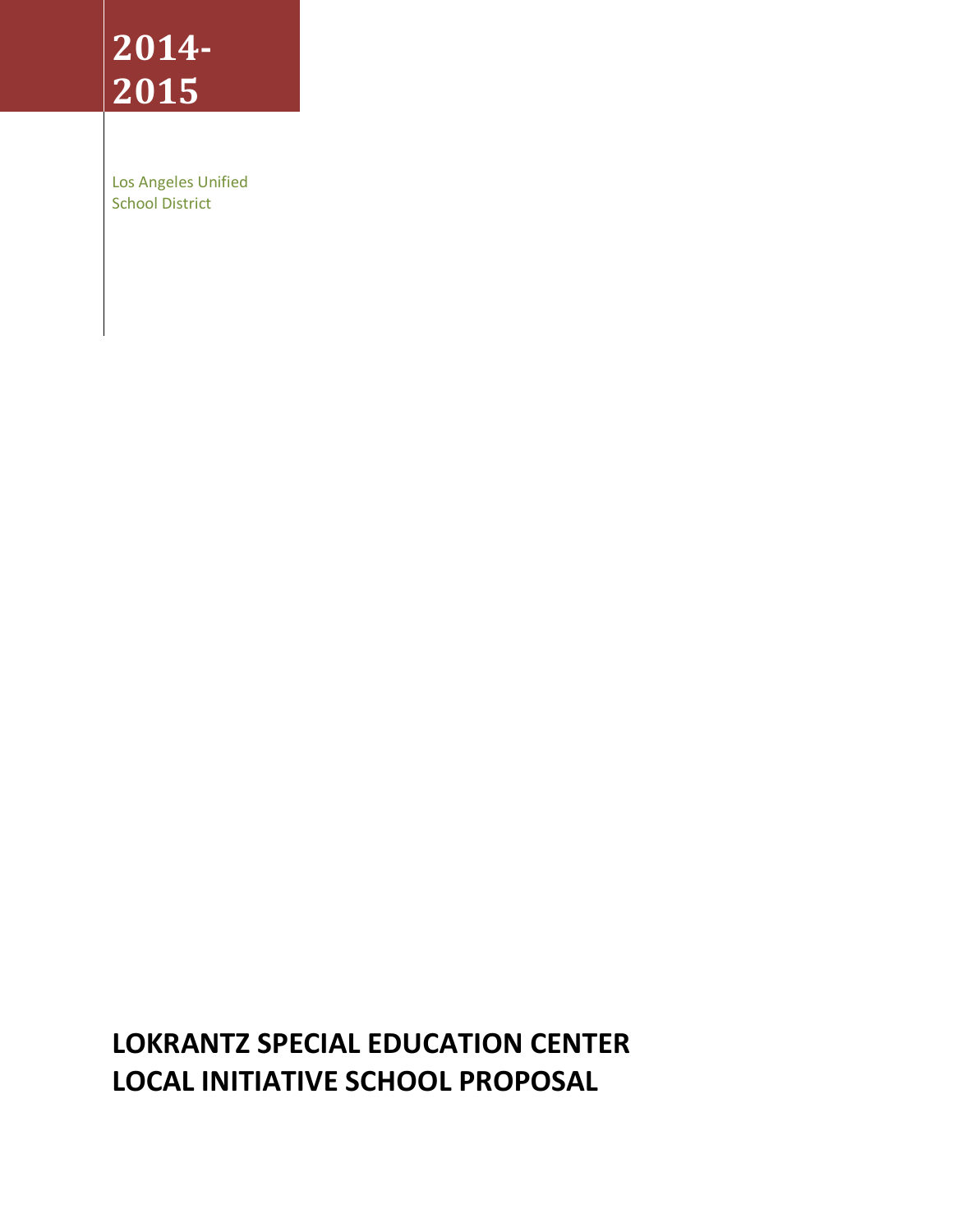# **2014- 2015**

Los Angeles Unified School District

# **LOKRANTZ SPECIAL EDUCATION CENTER LOCAL INITIATIVE SCHOOL PROPOSAL**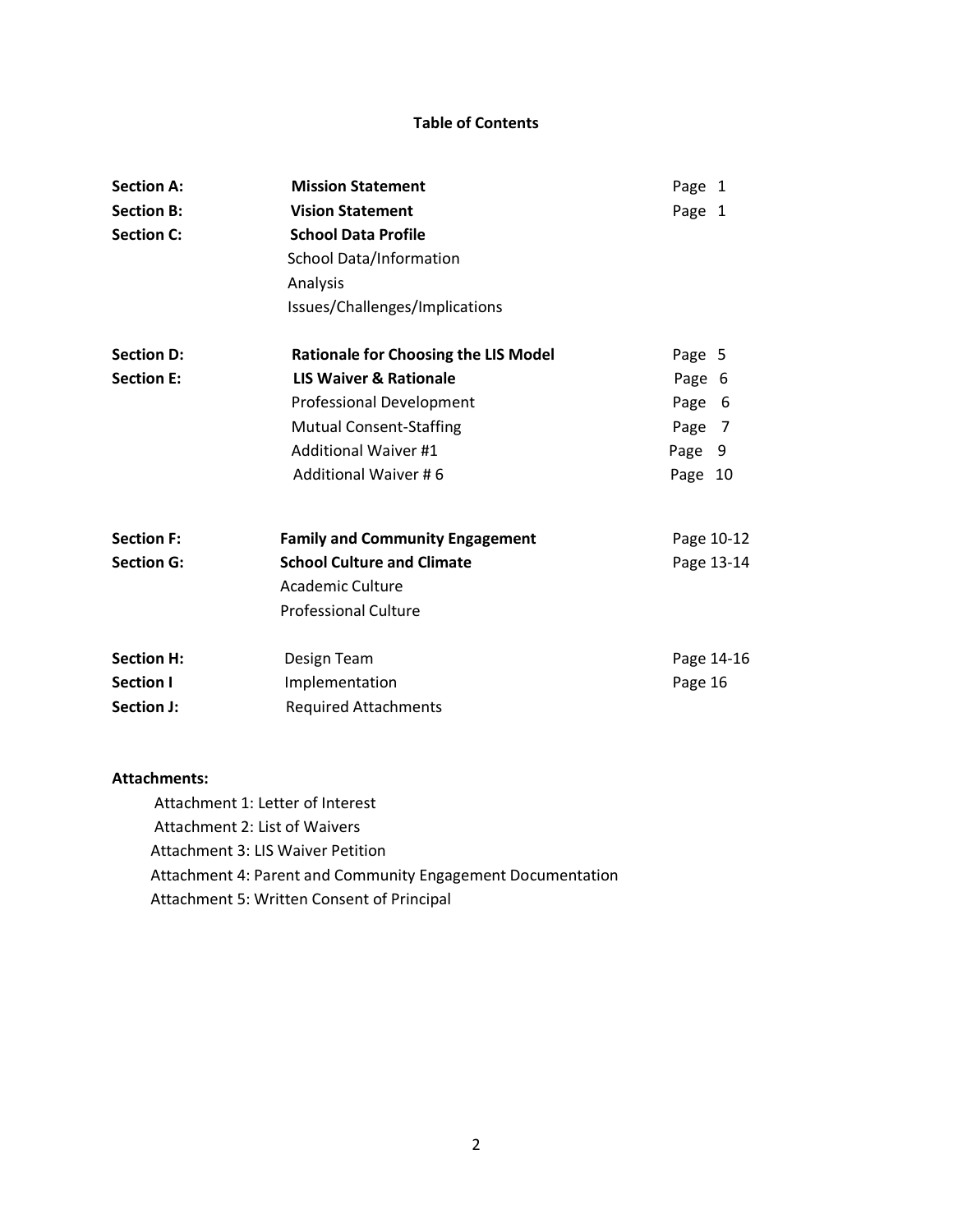#### **Table of Contents**

| <b>Section A:</b> | <b>Mission Statement</b>                    | Page 1     |
|-------------------|---------------------------------------------|------------|
| <b>Section B:</b> | <b>Vision Statement</b>                     | Page 1     |
| <b>Section C:</b> | <b>School Data Profile</b>                  |            |
|                   | <b>School Data/Information</b>              |            |
|                   | Analysis                                    |            |
|                   | Issues/Challenges/Implications              |            |
| <b>Section D:</b> | <b>Rationale for Choosing the LIS Model</b> | Page 5     |
| <b>Section E:</b> | <b>LIS Waiver &amp; Rationale</b>           | Page 6     |
|                   | <b>Professional Development</b>             | Page<br>-6 |
|                   | <b>Mutual Consent-Staffing</b>              | Page<br>-7 |
|                   | <b>Additional Waiver #1</b>                 | Page 9     |
|                   | <b>Additional Waiver #6</b>                 | Page 10    |
| <b>Section F:</b> | <b>Family and Community Engagement</b>      | Page 10-12 |
| <b>Section G:</b> | <b>School Culture and Climate</b>           | Page 13-14 |
|                   | Academic Culture                            |            |
|                   | <b>Professional Culture</b>                 |            |
| <b>Section H:</b> | Design Team                                 | Page 14-16 |
| <b>Section I</b>  | Implementation                              | Page 16    |
| Section J:        | <b>Required Attachments</b>                 |            |

#### **Attachments:**

 Attachment 1: Letter of Interest Attachment 2: List of Waivers Attachment 3: LIS Waiver Petition Attachment 4: Parent and Community Engagement Documentation Attachment 5: Written Consent of Principal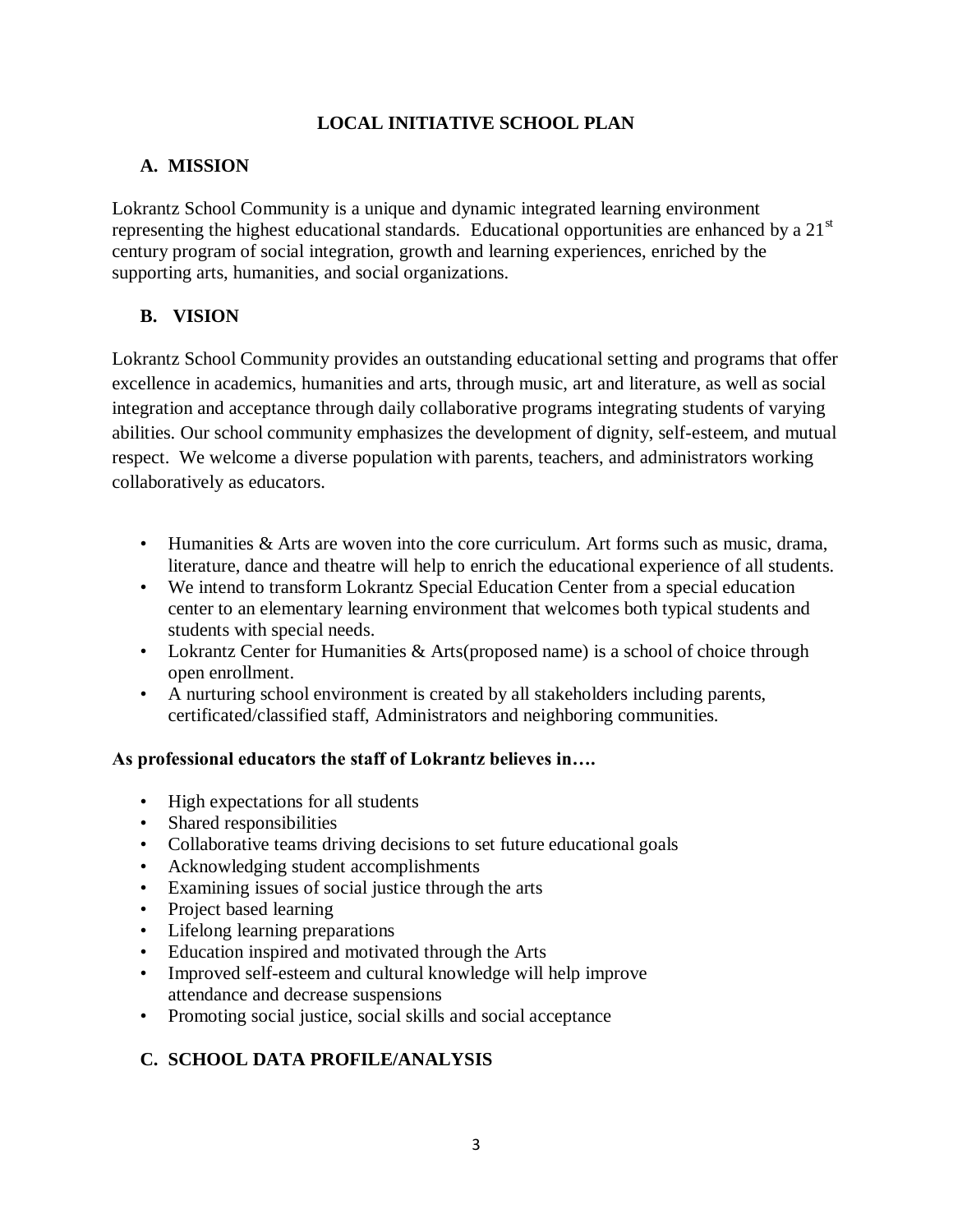## **LOCAL INITIATIVE SCHOOL PLAN**

# **A. MISSION**

Lokrantz School Community is a unique and dynamic integrated learning environment representing the highest educational standards. Educational opportunities are enhanced by a  $21<sup>st</sup>$ century program of social integration, growth and learning experiences, enriched by the supporting arts, humanities, and social organizations.

# **B. VISION**

Lokrantz School Community provides an outstanding educational setting and programs that offer excellence in academics, humanities and arts, through music, art and literature, as well as social integration and acceptance through daily collaborative programs integrating students of varying abilities. Our school community emphasizes the development of dignity, self-esteem, and mutual respect. We welcome a diverse population with parents, teachers, and administrators working collaboratively as educators.

- Humanities & Arts are woven into the core curriculum. Art forms such as music, drama, literature, dance and theatre will help to enrich the educational experience of all students.
- We intend to transform Lokrantz Special Education Center from a special education center to an elementary learning environment that welcomes both typical students and students with special needs.
- Lokrantz Center for Humanities & Arts(proposed name) is a school of choice through open enrollment.
- A nurturing school environment is created by all stakeholders including parents, certificated/classified staff, Administrators and neighboring communities.

#### **As professional educators the staff of Lokrantz believes in….**

- High expectations for all students
- Shared responsibilities
- Collaborative teams driving decisions to set future educational goals
- Acknowledging student accomplishments
- Examining issues of social justice through the arts
- Project based learning
- Lifelong learning preparations
- Education inspired and motivated through the Arts
- Improved self-esteem and cultural knowledge will help improve attendance and decrease suspensions
- Promoting social justice, social skills and social acceptance

# **C. SCHOOL DATA PROFILE/ANALYSIS**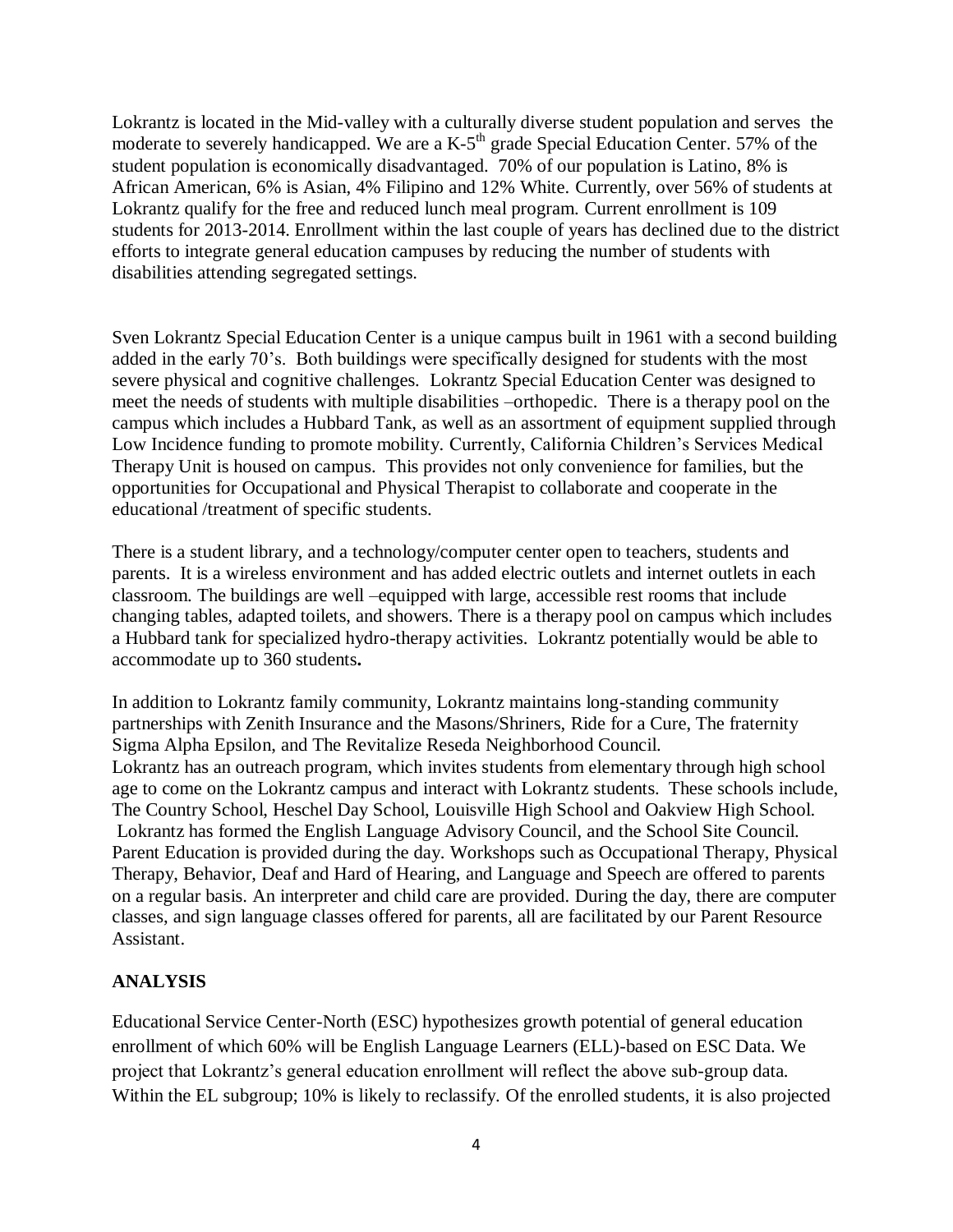Lokrantz is located in the Mid-valley with a culturally diverse student population and serves the moderate to severely handicapped. We are a  $K-5<sup>th</sup>$  grade Special Education Center. 57% of the student population is economically disadvantaged. 70% of our population is Latino, 8% is African American, 6% is Asian, 4% Filipino and 12% White. Currently, over 56% of students at Lokrantz qualify for the free and reduced lunch meal program. Current enrollment is 109 students for 2013-2014. Enrollment within the last couple of years has declined due to the district efforts to integrate general education campuses by reducing the number of students with disabilities attending segregated settings.

Sven Lokrantz Special Education Center is a unique campus built in 1961 with a second building added in the early 70's. Both buildings were specifically designed for students with the most severe physical and cognitive challenges. Lokrantz Special Education Center was designed to meet the needs of students with multiple disabilities –orthopedic. There is a therapy pool on the campus which includes a Hubbard Tank, as well as an assortment of equipment supplied through Low Incidence funding to promote mobility. Currently, California Children's Services Medical Therapy Unit is housed on campus. This provides not only convenience for families, but the opportunities for Occupational and Physical Therapist to collaborate and cooperate in the educational /treatment of specific students.

There is a student library, and a technology/computer center open to teachers, students and parents. It is a wireless environment and has added electric outlets and internet outlets in each classroom. The buildings are well –equipped with large, accessible rest rooms that include changing tables, adapted toilets, and showers. There is a therapy pool on campus which includes a Hubbard tank for specialized hydro-therapy activities. Lokrantz potentially would be able to accommodate up to 360 students**.** 

In addition to Lokrantz family community, Lokrantz maintains long-standing community partnerships with Zenith Insurance and the Masons/Shriners, Ride for a Cure, The fraternity Sigma Alpha Epsilon, and The Revitalize Reseda Neighborhood Council. Lokrantz has an outreach program, which invites students from elementary through high school age to come on the Lokrantz campus and interact with Lokrantz students. These schools include, The Country School, Heschel Day School, Louisville High School and Oakview High School. .Lokrantz has formed the English Language Advisory Council, and the School Site Council. Parent Education is provided during the day. Workshops such as Occupational Therapy, Physical Therapy, Behavior, Deaf and Hard of Hearing, and Language and Speech are offered to parents on a regular basis. An interpreter and child care are provided. During the day, there are computer classes, and sign language classes offered for parents, all are facilitated by our Parent Resource Assistant.

#### **ANALYSIS**

Educational Service Center-North (ESC) hypothesizes growth potential of general education enrollment of which 60% will be English Language Learners (ELL)-based on ESC Data. We project that Lokrantz's general education enrollment will reflect the above sub-group data. Within the EL subgroup; 10% is likely to reclassify. Of the enrolled students, it is also projected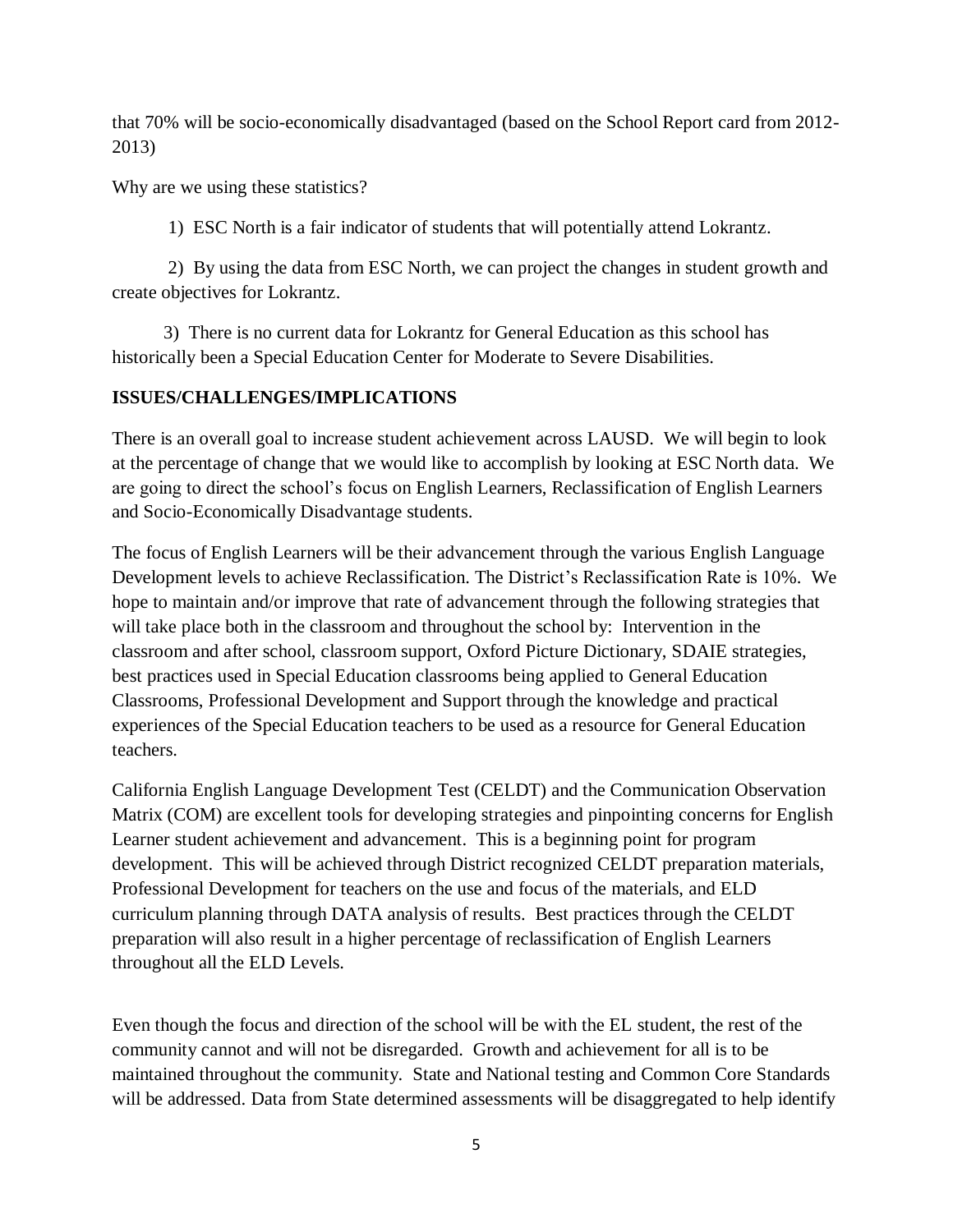that 70% will be socio-economically disadvantaged (based on the School Report card from 2012- 2013)

Why are we using these statistics?

1) ESC North is a fair indicator of students that will potentially attend Lokrantz.

2) By using the data from ESC North, we can project the changes in student growth and create objectives for Lokrantz.

 3) There is no current data for Lokrantz for General Education as this school has historically been a Special Education Center for Moderate to Severe Disabilities.

#### **ISSUES/CHALLENGES/IMPLICATIONS**

There is an overall goal to increase student achievement across LAUSD. We will begin to look at the percentage of change that we would like to accomplish by looking at ESC North data. We are going to direct the school's focus on English Learners, Reclassification of English Learners and Socio-Economically Disadvantage students.

The focus of English Learners will be their advancement through the various English Language Development levels to achieve Reclassification. The District's Reclassification Rate is 10%. We hope to maintain and/or improve that rate of advancement through the following strategies that will take place both in the classroom and throughout the school by: Intervention in the classroom and after school, classroom support, Oxford Picture Dictionary, SDAIE strategies, best practices used in Special Education classrooms being applied to General Education Classrooms, Professional Development and Support through the knowledge and practical experiences of the Special Education teachers to be used as a resource for General Education teachers.

California English Language Development Test (CELDT) and the Communication Observation Matrix (COM) are excellent tools for developing strategies and pinpointing concerns for English Learner student achievement and advancement. This is a beginning point for program development. This will be achieved through District recognized CELDT preparation materials, Professional Development for teachers on the use and focus of the materials, and ELD curriculum planning through DATA analysis of results. Best practices through the CELDT preparation will also result in a higher percentage of reclassification of English Learners throughout all the ELD Levels.

Even though the focus and direction of the school will be with the EL student, the rest of the community cannot and will not be disregarded. Growth and achievement for all is to be maintained throughout the community. State and National testing and Common Core Standards will be addressed. Data from State determined assessments will be disaggregated to help identify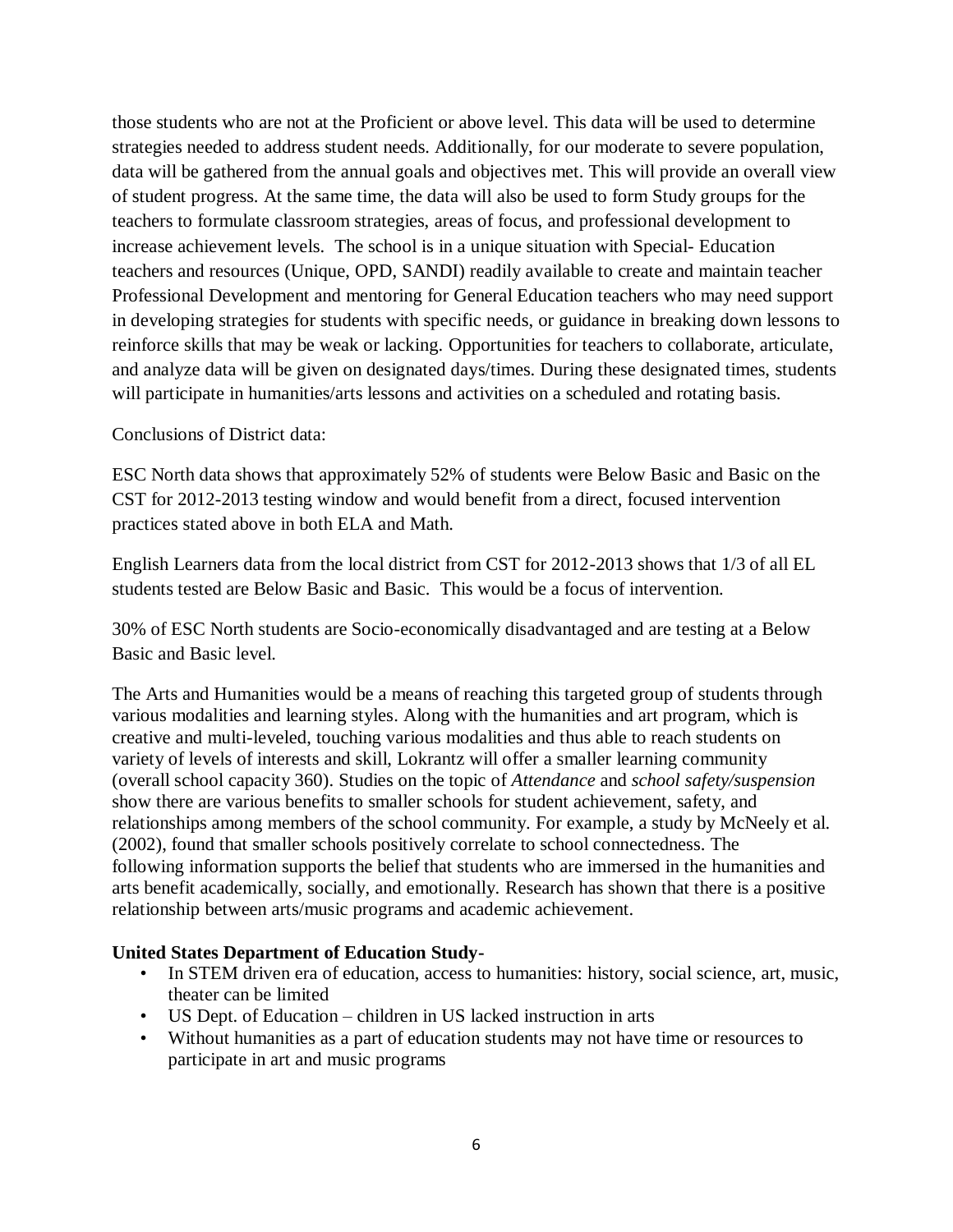those students who are not at the Proficient or above level. This data will be used to determine strategies needed to address student needs. Additionally, for our moderate to severe population, data will be gathered from the annual goals and objectives met. This will provide an overall view of student progress. At the same time, the data will also be used to form Study groups for the teachers to formulate classroom strategies, areas of focus, and professional development to increase achievement levels. The school is in a unique situation with Special- Education teachers and resources (Unique, OPD, SANDI) readily available to create and maintain teacher Professional Development and mentoring for General Education teachers who may need support in developing strategies for students with specific needs, or guidance in breaking down lessons to reinforce skills that may be weak or lacking. Opportunities for teachers to collaborate, articulate, and analyze data will be given on designated days/times. During these designated times, students will participate in humanities/arts lessons and activities on a scheduled and rotating basis.

#### Conclusions of District data:

ESC North data shows that approximately 52% of students were Below Basic and Basic on the CST for 2012-2013 testing window and would benefit from a direct, focused intervention practices stated above in both ELA and Math.

English Learners data from the local district from CST for 2012-2013 shows that 1/3 of all EL students tested are Below Basic and Basic. This would be a focus of intervention.

30% of ESC North students are Socio-economically disadvantaged and are testing at a Below Basic and Basic level.

The Arts and Humanities would be a means of reaching this targeted group of students through various modalities and learning styles. Along with the humanities and art program, which is creative and multi-leveled, touching various modalities and thus able to reach students on variety of levels of interests and skill, Lokrantz will offer a smaller learning community (overall school capacity 360). Studies on the topic of *Attendance* and *school safety/suspension* show there are various benefits to smaller schools for student achievement, safety, and relationships among members of the school community. For example, a study by McNeely et al. (2002), found that smaller schools positively correlate to school connectedness. The following information supports the belief that students who are immersed in the humanities and arts benefit academically, socially, and emotionally. Research has shown that there is a positive relationship between arts/music programs and academic achievement.

#### **United States Department of Education Study-**

- In STEM driven era of education, access to humanities: history, social science, art, music, theater can be limited
- US Dept. of Education children in US lacked instruction in arts
- Without humanities as a part of education students may not have time or resources to participate in art and music programs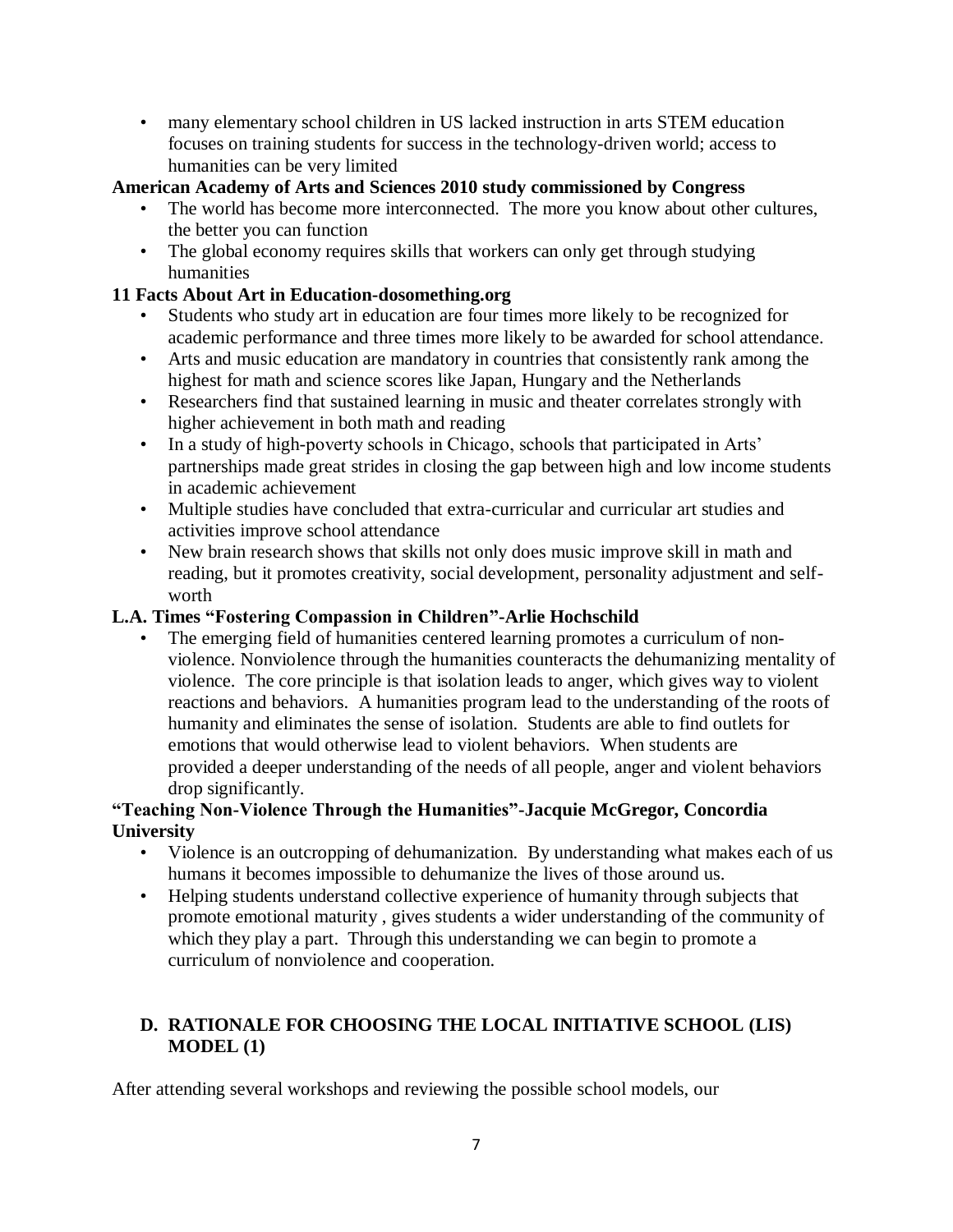• many elementary school children in US lacked instruction in arts STEM education focuses on training students for success in the technology-driven world; access to humanities can be very limited

# **American Academy of Arts and Sciences 2010 study commissioned by Congress**

- The world has become more interconnected. The more you know about other cultures, the better you can function
- The global economy requires skills that workers can only get through studying humanities

## **11 Facts About Art in Education-dosomething.org**

- Students who study art in education are four times more likely to be recognized for academic performance and three times more likely to be awarded for school attendance.
- Arts and music education are mandatory in countries that consistently rank among the highest for math and science scores like Japan, Hungary and the Netherlands
- Researchers find that sustained learning in music and theater correlates strongly with higher achievement in both math and reading
- In a study of high-poverty schools in Chicago, schools that participated in Arts' partnerships made great strides in closing the gap between high and low income students in academic achievement
- Multiple studies have concluded that extra-curricular and curricular art studies and activities improve school attendance
- New brain research shows that skills not only does music improve skill in math and reading, but it promotes creativity, social development, personality adjustment and selfworth

# **L.A. Times "Fostering Compassion in Children"-Arlie Hochschild**

The emerging field of humanities centered learning promotes a curriculum of nonviolence. Nonviolence through the humanities counteracts the dehumanizing mentality of violence. The core principle is that isolation leads to anger, which gives way to violent reactions and behaviors. A humanities program lead to the understanding of the roots of humanity and eliminates the sense of isolation. Students are able to find outlets for emotions that would otherwise lead to violent behaviors. When students are provided a deeper understanding of the needs of all people, anger and violent behaviors drop significantly.

# **"Teaching Non-Violence Through the Humanities"-Jacquie McGregor, Concordia University**

- Violence is an outcropping of dehumanization. By understanding what makes each of us humans it becomes impossible to dehumanize the lives of those around us.
- Helping students understand collective experience of humanity through subjects that promote emotional maturity , gives students a wider understanding of the community of which they play a part. Through this understanding we can begin to promote a curriculum of nonviolence and cooperation.

# **D. RATIONALE FOR CHOOSING THE LOCAL INITIATIVE SCHOOL (LIS) MODEL (1)**

After attending several workshops and reviewing the possible school models, our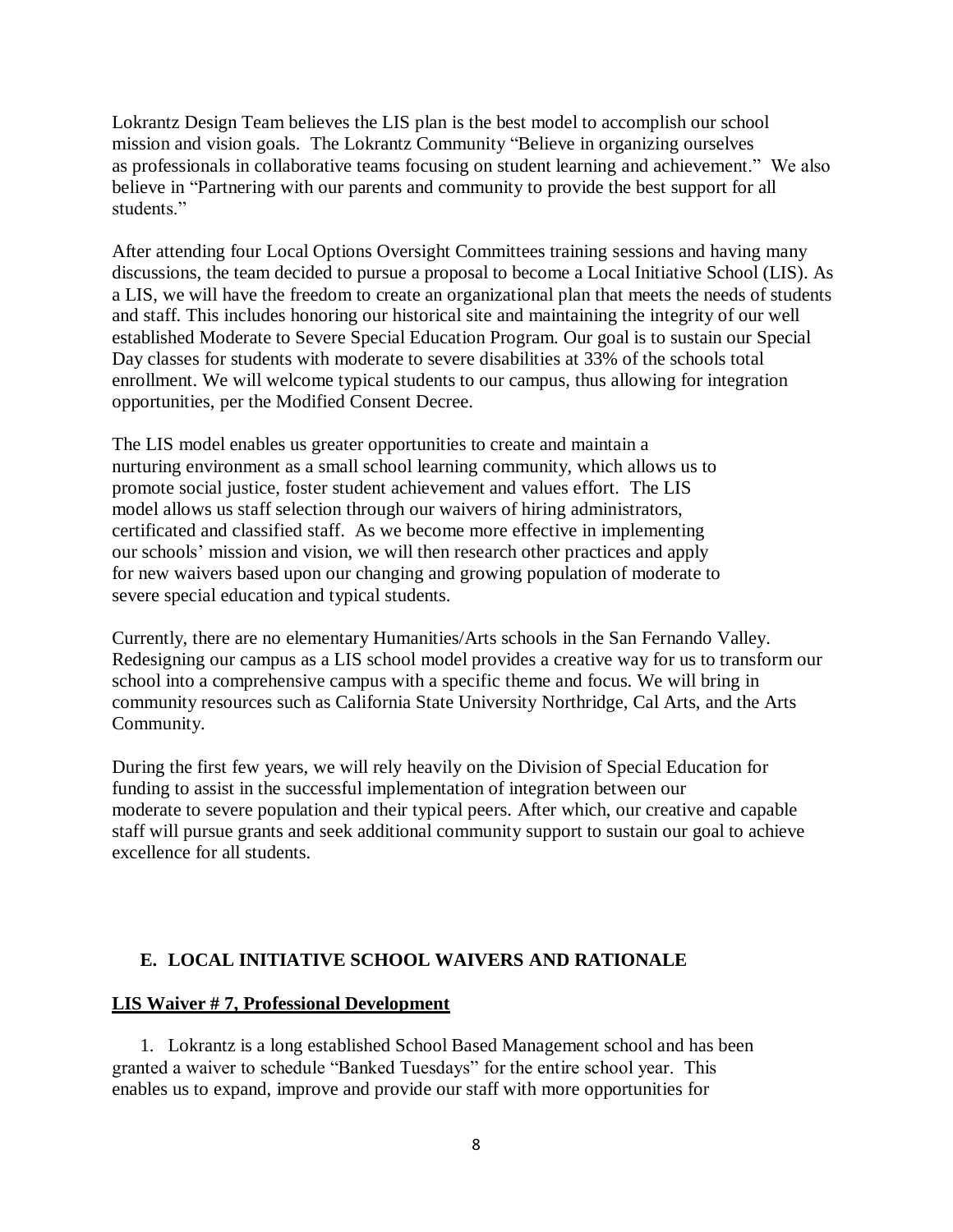Lokrantz Design Team believes the LIS plan is the best model to accomplish our school mission and vision goals. The Lokrantz Community "Believe in organizing ourselves as professionals in collaborative teams focusing on student learning and achievement." We also believe in "Partnering with our parents and community to provide the best support for all students"

After attending four Local Options Oversight Committees training sessions and having many discussions, the team decided to pursue a proposal to become a Local Initiative School (LIS). As a LIS, we will have the freedom to create an organizational plan that meets the needs of students and staff. This includes honoring our historical site and maintaining the integrity of our well established Moderate to Severe Special Education Program. Our goal is to sustain our Special Day classes for students with moderate to severe disabilities at 33% of the schools total enrollment. We will welcome typical students to our campus, thus allowing for integration opportunities, per the Modified Consent Decree.

The LIS model enables us greater opportunities to create and maintain a nurturing environment as a small school learning community, which allows us to promote social justice, foster student achievement and values effort. The LIS model allows us staff selection through our waivers of hiring administrators, certificated and classified staff. As we become more effective in implementing our schools' mission and vision, we will then research other practices and apply for new waivers based upon our changing and growing population of moderate to severe special education and typical students.

Currently, there are no elementary Humanities/Arts schools in the San Fernando Valley. Redesigning our campus as a LIS school model provides a creative way for us to transform our school into a comprehensive campus with a specific theme and focus. We will bring in community resources such as California State University Northridge, Cal Arts, and the Arts Community.

During the first few years, we will rely heavily on the Division of Special Education for funding to assist in the successful implementation of integration between our moderate to severe population and their typical peers. After which, our creative and capable staff will pursue grants and seek additional community support to sustain our goal to achieve excellence for all students.

#### **E. LOCAL INITIATIVE SCHOOL WAIVERS AND RATIONALE**

#### **LIS Waiver # 7, Professional Development**

1. Lokrantz is a long established School Based Management school and has been granted a waiver to schedule "Banked Tuesdays" for the entire school year. This enables us to expand, improve and provide our staff with more opportunities for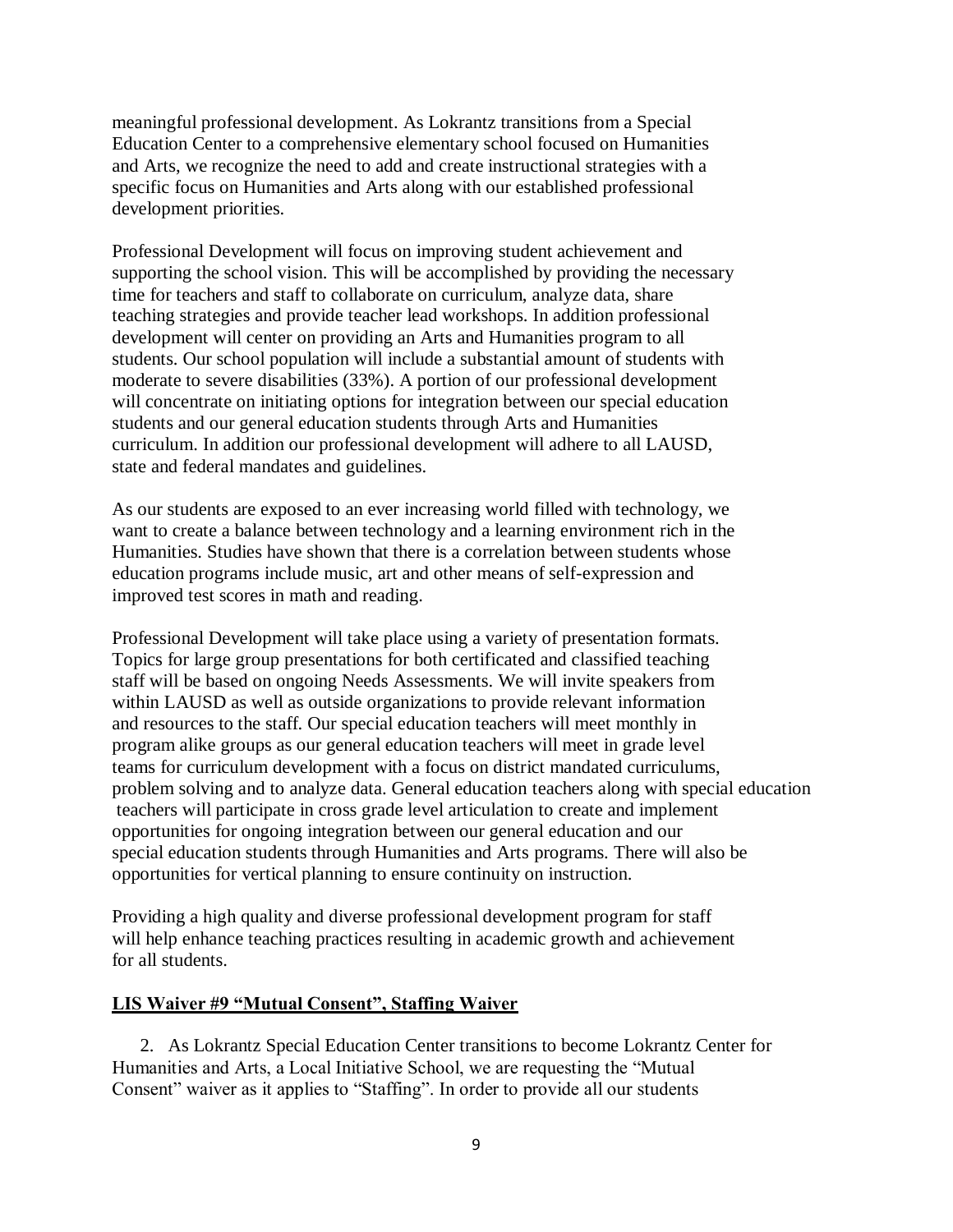meaningful professional development. As Lokrantz transitions from a Special Education Center to a comprehensive elementary school focused on Humanities and Arts, we recognize the need to add and create instructional strategies with a specific focus on Humanities and Arts along with our established professional development priorities.

Professional Development will focus on improving student achievement and supporting the school vision. This will be accomplished by providing the necessary time for teachers and staff to collaborate on curriculum, analyze data, share teaching strategies and provide teacher lead workshops. In addition professional development will center on providing an Arts and Humanities program to all students. Our school population will include a substantial amount of students with moderate to severe disabilities (33%). A portion of our professional development will concentrate on initiating options for integration between our special education students and our general education students through Arts and Humanities curriculum. In addition our professional development will adhere to all LAUSD, state and federal mandates and guidelines.

As our students are exposed to an ever increasing world filled with technology, we want to create a balance between technology and a learning environment rich in the Humanities. Studies have shown that there is a correlation between students whose education programs include music, art and other means of self-expression and improved test scores in math and reading.

Professional Development will take place using a variety of presentation formats. Topics for large group presentations for both certificated and classified teaching staff will be based on ongoing Needs Assessments. We will invite speakers from within LAUSD as well as outside organizations to provide relevant information and resources to the staff. Our special education teachers will meet monthly in program alike groups as our general education teachers will meet in grade level teams for curriculum development with a focus on district mandated curriculums, problem solving and to analyze data. General education teachers along with special education teachers will participate in cross grade level articulation to create and implement opportunities for ongoing integration between our general education and our special education students through Humanities and Arts programs. There will also be opportunities for vertical planning to ensure continuity on instruction.

Providing a high quality and diverse professional development program for staff will help enhance teaching practices resulting in academic growth and achievement for all students.

#### **LIS Waiver #9 "Mutual Consent", Staffing Waiver**

2. As Lokrantz Special Education Center transitions to become Lokrantz Center for Humanities and Arts, a Local Initiative School, we are requesting the "Mutual Consent" waiver as it applies to "Staffing". In order to provide all our students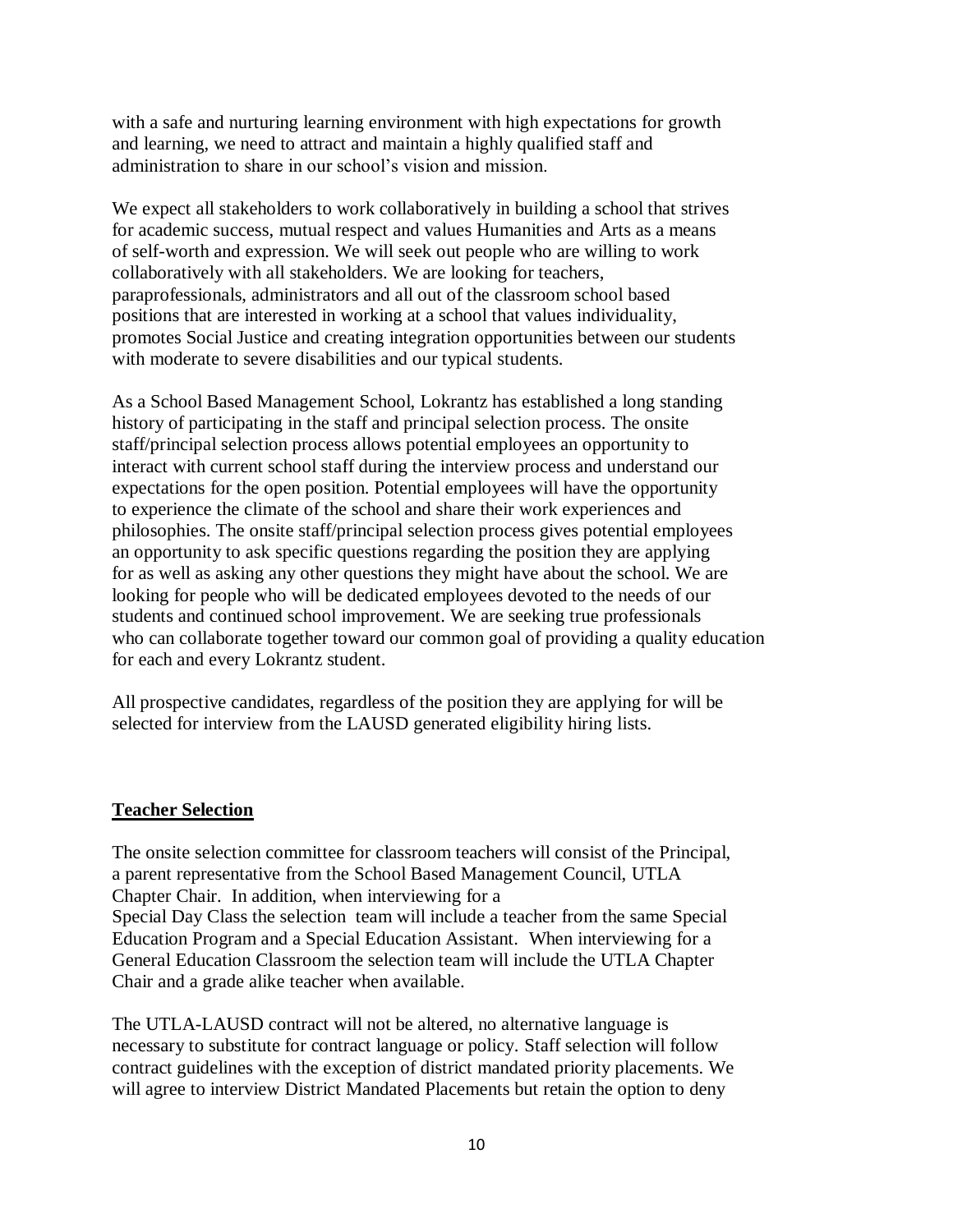with a safe and nurturing learning environment with high expectations for growth and learning, we need to attract and maintain a highly qualified staff and administration to share in our school's vision and mission.

We expect all stakeholders to work collaboratively in building a school that strives for academic success, mutual respect and values Humanities and Arts as a means of self-worth and expression. We will seek out people who are willing to work collaboratively with all stakeholders. We are looking for teachers, paraprofessionals, administrators and all out of the classroom school based positions that are interested in working at a school that values individuality, promotes Social Justice and creating integration opportunities between our students with moderate to severe disabilities and our typical students.

As a School Based Management School, Lokrantz has established a long standing history of participating in the staff and principal selection process. The onsite staff/principal selection process allows potential employees an opportunity to interact with current school staff during the interview process and understand our expectations for the open position. Potential employees will have the opportunity to experience the climate of the school and share their work experiences and philosophies. The onsite staff/principal selection process gives potential employees an opportunity to ask specific questions regarding the position they are applying for as well as asking any other questions they might have about the school. We are looking for people who will be dedicated employees devoted to the needs of our students and continued school improvement. We are seeking true professionals who can collaborate together toward our common goal of providing a quality education for each and every Lokrantz student.

All prospective candidates, regardless of the position they are applying for will be selected for interview from the LAUSD generated eligibility hiring lists.

#### **Teacher Selection**

The onsite selection committee for classroom teachers will consist of the Principal, a parent representative from the School Based Management Council, UTLA Chapter Chair. In addition, when interviewing for a Special Day Class the selection team will include a teacher from the same Special Education Program and a Special Education Assistant. When interviewing for a General Education Classroom the selection team will include the UTLA Chapter Chair and a grade alike teacher when available.

The UTLA-LAUSD contract will not be altered, no alternative language is necessary to substitute for contract language or policy. Staff selection will follow contract guidelines with the exception of district mandated priority placements. We will agree to interview District Mandated Placements but retain the option to deny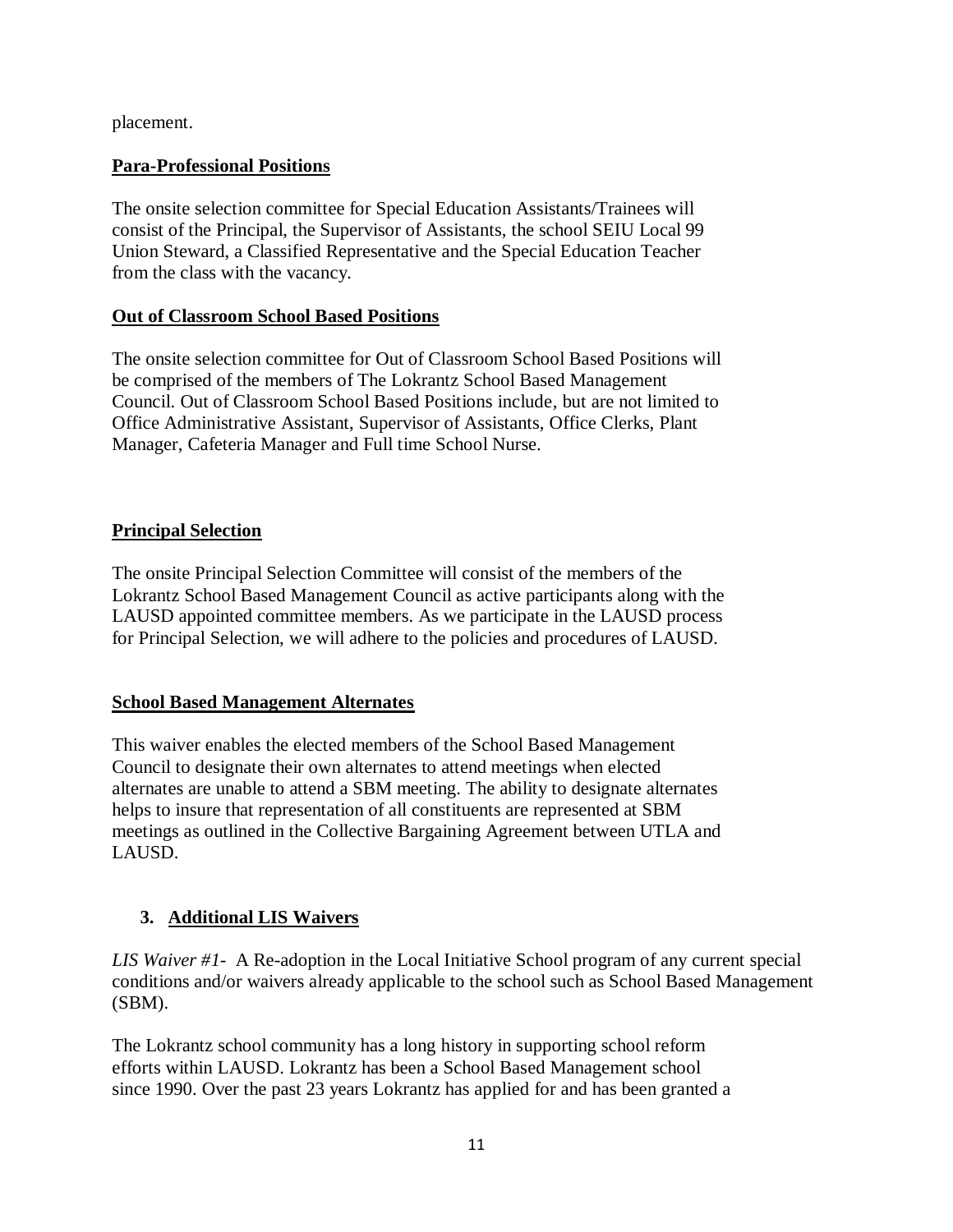placement.

#### **Para-Professional Positions**

The onsite selection committee for Special Education Assistants/Trainees will consist of the Principal, the Supervisor of Assistants, the school SEIU Local 99 Union Steward, a Classified Representative and the Special Education Teacher from the class with the vacancy.

#### **Out of Classroom School Based Positions**

The onsite selection committee for Out of Classroom School Based Positions will be comprised of the members of The Lokrantz School Based Management Council. Out of Classroom School Based Positions include, but are not limited to Office Administrative Assistant, Supervisor of Assistants, Office Clerks, Plant Manager, Cafeteria Manager and Full time School Nurse.

# **Principal Selection**

The onsite Principal Selection Committee will consist of the members of the Lokrantz School Based Management Council as active participants along with the LAUSD appointed committee members. As we participate in the LAUSD process for Principal Selection, we will adhere to the policies and procedures of LAUSD.

#### **School Based Management Alternates**

This waiver enables the elected members of the School Based Management Council to designate their own alternates to attend meetings when elected alternates are unable to attend a SBM meeting. The ability to designate alternates helps to insure that representation of all constituents are represented at SBM meetings as outlined in the Collective Bargaining Agreement between UTLA and LAUSD.

# **3. Additional LIS Waivers**

*LIS Waiver #1*- A Re-adoption in the Local Initiative School program of any current special conditions and/or waivers already applicable to the school such as School Based Management (SBM).

The Lokrantz school community has a long history in supporting school reform efforts within LAUSD. Lokrantz has been a School Based Management school since 1990. Over the past 23 years Lokrantz has applied for and has been granted a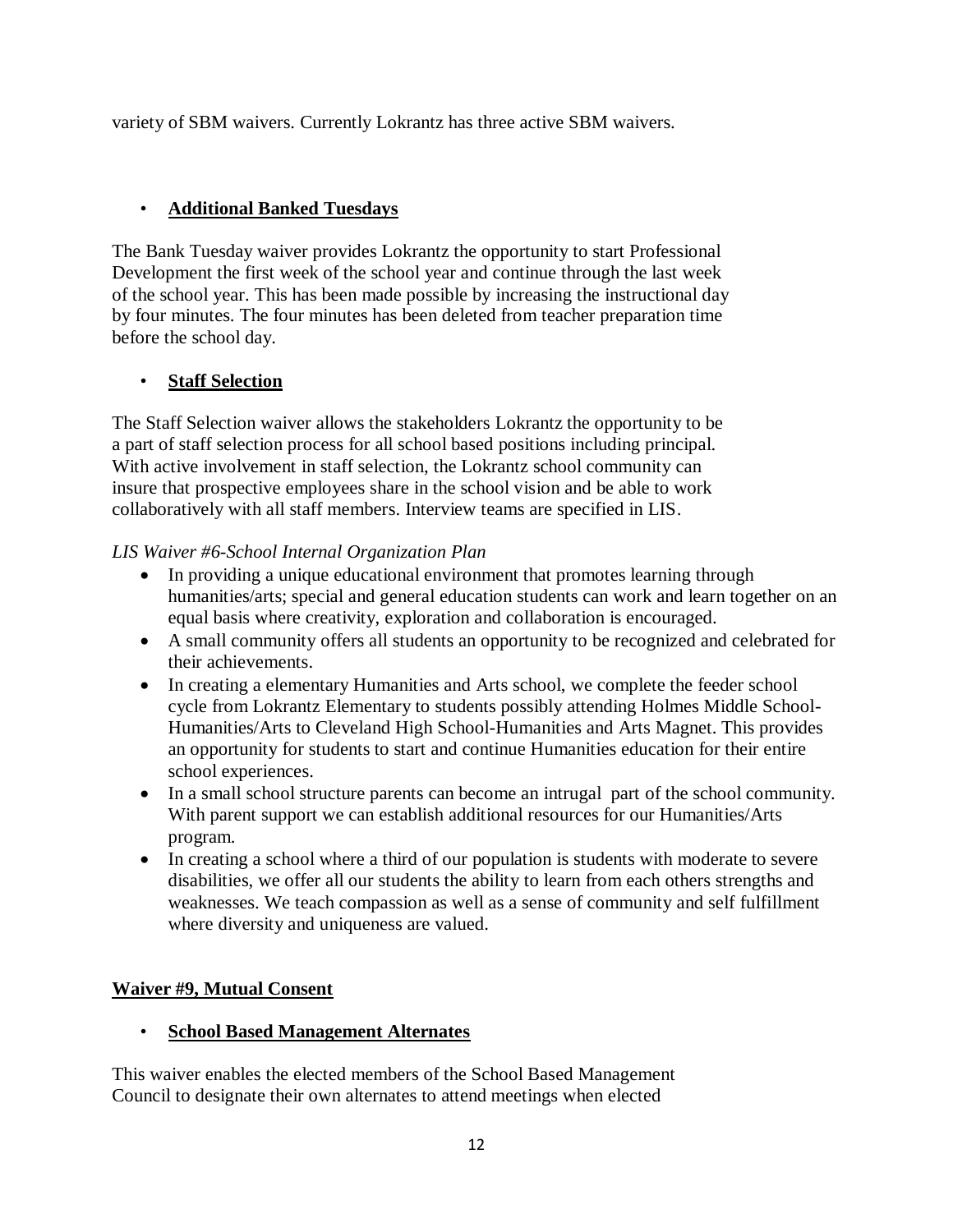variety of SBM waivers. Currently Lokrantz has three active SBM waivers.

# • **Additional Banked Tuesdays**

The Bank Tuesday waiver provides Lokrantz the opportunity to start Professional Development the first week of the school year and continue through the last week of the school year. This has been made possible by increasing the instructional day by four minutes. The four minutes has been deleted from teacher preparation time before the school day.

# • **Staff Selection**

The Staff Selection waiver allows the stakeholders Lokrantz the opportunity to be a part of staff selection process for all school based positions including principal. With active involvement in staff selection, the Lokrantz school community can insure that prospective employees share in the school vision and be able to work collaboratively with all staff members. Interview teams are specified in LIS.

#### *LIS Waiver #6-School Internal Organization Plan*

- In providing a unique educational environment that promotes learning through humanities/arts; special and general education students can work and learn together on an equal basis where creativity, exploration and collaboration is encouraged.
- A small community offers all students an opportunity to be recognized and celebrated for their achievements.
- In creating a elementary Humanities and Arts school, we complete the feeder school cycle from Lokrantz Elementary to students possibly attending Holmes Middle School-Humanities/Arts to Cleveland High School-Humanities and Arts Magnet. This provides an opportunity for students to start and continue Humanities education for their entire school experiences.
- In a small school structure parents can become an intrugal part of the school community. With parent support we can establish additional resources for our Humanities/Arts program.
- In creating a school where a third of our population is students with moderate to severe disabilities, we offer all our students the ability to learn from each others strengths and weaknesses. We teach compassion as well as a sense of community and self fulfillment where diversity and uniqueness are valued.

# **Waiver #9, Mutual Consent**

#### • **School Based Management Alternates**

This waiver enables the elected members of the School Based Management Council to designate their own alternates to attend meetings when elected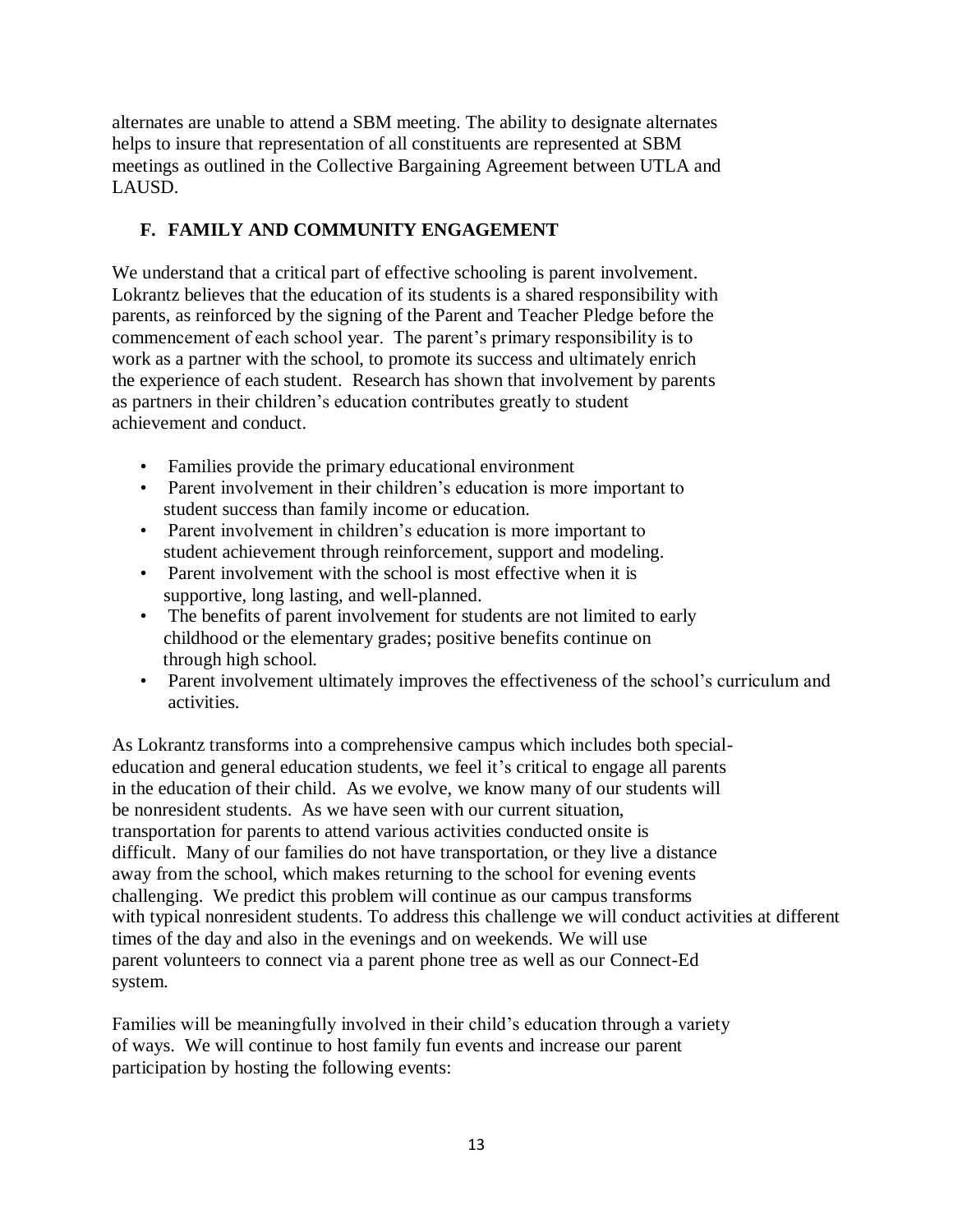alternates are unable to attend a SBM meeting. The ability to designate alternates helps to insure that representation of all constituents are represented at SBM meetings as outlined in the Collective Bargaining Agreement between UTLA and LAUSD.

# **F. FAMILY AND COMMUNITY ENGAGEMENT**

We understand that a critical part of effective schooling is parent involvement. Lokrantz believes that the education of its students is a shared responsibility with parents, as reinforced by the signing of the Parent and Teacher Pledge before the commencement of each school year. The parent's primary responsibility is to work as a partner with the school, to promote its success and ultimately enrich the experience of each student. Research has shown that involvement by parents as partners in their children's education contributes greatly to student achievement and conduct.

- Families provide the primary educational environment
- Parent involvement in their children's education is more important to student success than family income or education.
- Parent involvement in children's education is more important to student achievement through reinforcement, support and modeling.
- Parent involvement with the school is most effective when it is supportive, long lasting, and well-planned.
- The benefits of parent involvement for students are not limited to early childhood or the elementary grades; positive benefits continue on through high school.
- Parent involvement ultimately improves the effectiveness of the school's curriculum and activities.

As Lokrantz transforms into a comprehensive campus which includes both specialeducation and general education students, we feel it's critical to engage all parents in the education of their child. As we evolve, we know many of our students will be nonresident students. As we have seen with our current situation, transportation for parents to attend various activities conducted onsite is difficult. Many of our families do not have transportation, or they live a distance away from the school, which makes returning to the school for evening events challenging. We predict this problem will continue as our campus transforms with typical nonresident students. To address this challenge we will conduct activities at different times of the day and also in the evenings and on weekends. We will use parent volunteers to connect via a parent phone tree as well as our Connect-Ed system.

Families will be meaningfully involved in their child's education through a variety of ways. We will continue to host family fun events and increase our parent participation by hosting the following events: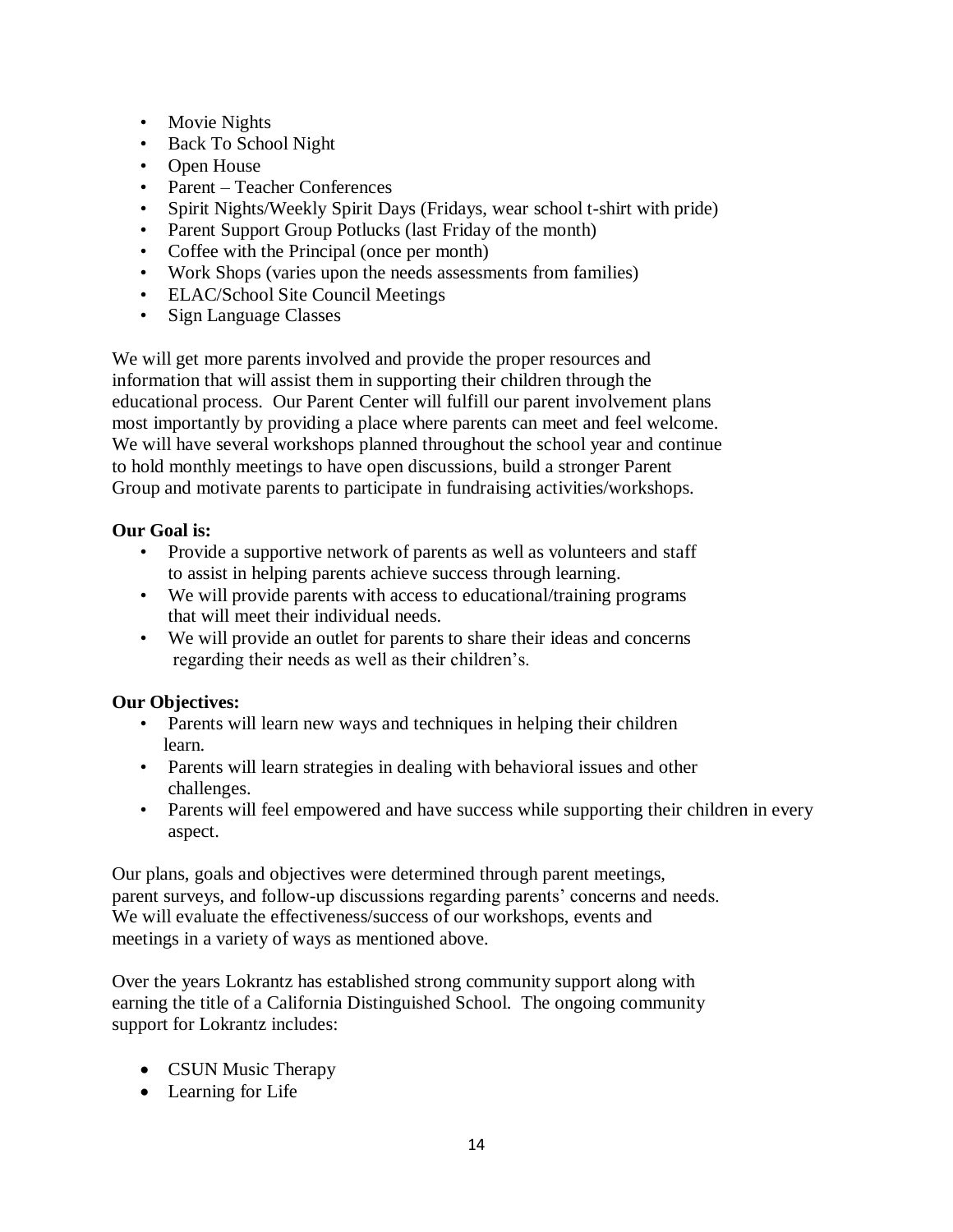- Movie Nights
- Back To School Night
- Open House
- Parent Teacher Conferences
- Spirit Nights/Weekly Spirit Days (Fridays, wear school t-shirt with pride)
- Parent Support Group Potlucks (last Friday of the month)
- Coffee with the Principal (once per month)
- Work Shops (varies upon the needs assessments from families)
- ELAC/School Site Council Meetings
- Sign Language Classes

We will get more parents involved and provide the proper resources and information that will assist them in supporting their children through the educational process. Our Parent Center will fulfill our parent involvement plans most importantly by providing a place where parents can meet and feel welcome. We will have several workshops planned throughout the school year and continue to hold monthly meetings to have open discussions, build a stronger Parent Group and motivate parents to participate in fundraising activities/workshops.

# **Our Goal is:**

- Provide a supportive network of parents as well as volunteers and staff to assist in helping parents achieve success through learning.
- We will provide parents with access to educational/training programs that will meet their individual needs.
- We will provide an outlet for parents to share their ideas and concerns regarding their needs as well as their children's.

# **Our Objectives:**

- Parents will learn new ways and techniques in helping their children learn.
- Parents will learn strategies in dealing with behavioral issues and other challenges.
- Parents will feel empowered and have success while supporting their children in every aspect.

Our plans, goals and objectives were determined through parent meetings, parent surveys, and follow-up discussions regarding parents' concerns and needs. We will evaluate the effectiveness/success of our workshops, events and meetings in a variety of ways as mentioned above.

Over the years Lokrantz has established strong community support along with earning the title of a California Distinguished School. The ongoing community support for Lokrantz includes:

- CSUN Music Therapy
- Learning for Life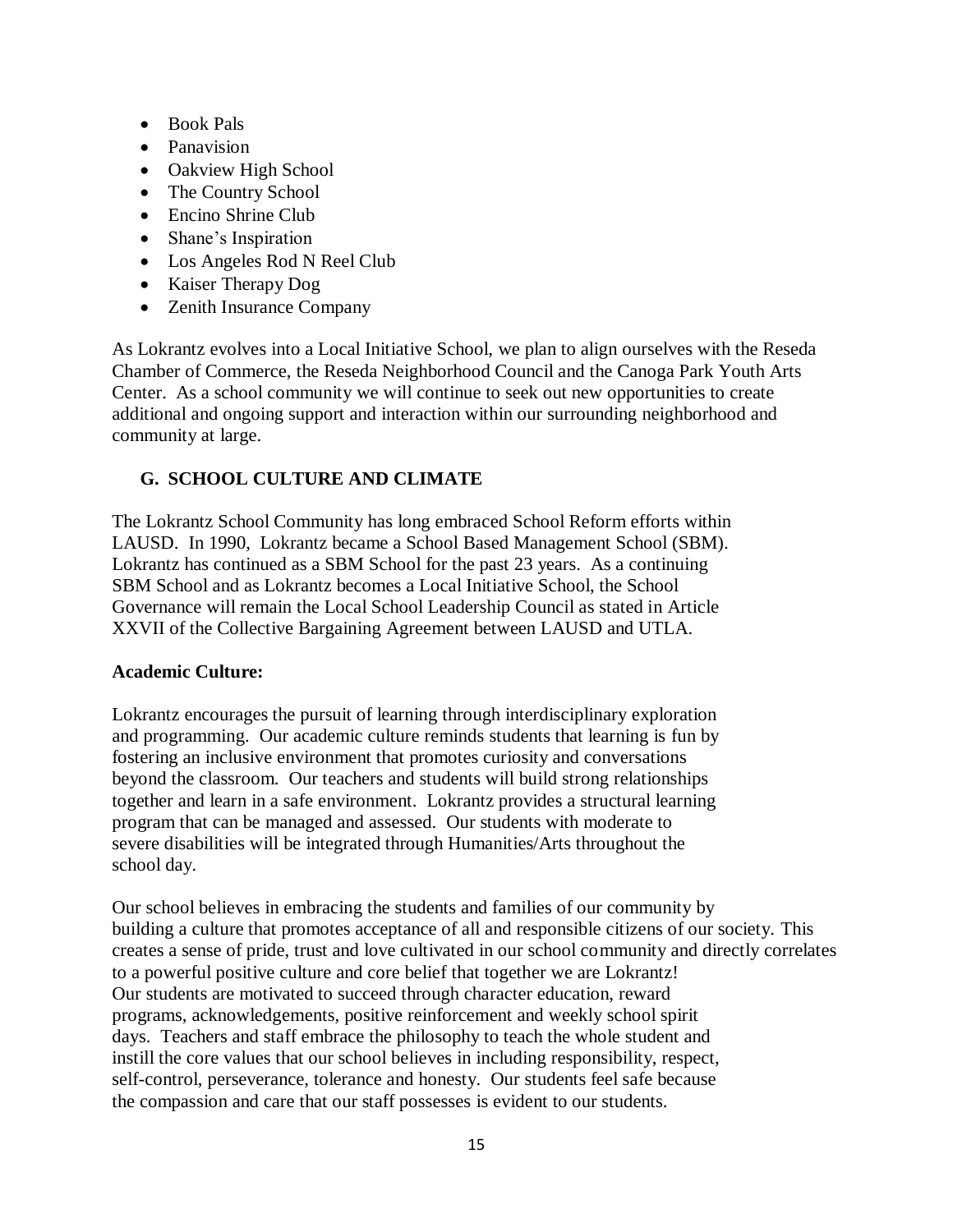- Book Pals
- Panavision
- Oakview High School
- The Country School
- Encino Shrine Club
- Shane's Inspiration
- Los Angeles Rod N Reel Club
- Kaiser Therapy Dog
- Zenith Insurance Company

As Lokrantz evolves into a Local Initiative School, we plan to align ourselves with the Reseda Chamber of Commerce, the Reseda Neighborhood Council and the Canoga Park Youth Arts Center. As a school community we will continue to seek out new opportunities to create additional and ongoing support and interaction within our surrounding neighborhood and community at large.

# **G. SCHOOL CULTURE AND CLIMATE**

The Lokrantz School Community has long embraced School Reform efforts within LAUSD. In 1990, Lokrantz became a School Based Management School (SBM). Lokrantz has continued as a SBM School for the past 23 years. As a continuing SBM School and as Lokrantz becomes a Local Initiative School, the School Governance will remain the Local School Leadership Council as stated in Article XXVII of the Collective Bargaining Agreement between LAUSD and UTLA.

#### **Academic Culture:**

Lokrantz encourages the pursuit of learning through interdisciplinary exploration and programming. Our academic culture reminds students that learning is fun by fostering an inclusive environment that promotes curiosity and conversations beyond the classroom. Our teachers and students will build strong relationships together and learn in a safe environment. Lokrantz provides a structural learning program that can be managed and assessed. Our students with moderate to severe disabilities will be integrated through Humanities/Arts throughout the school day.

Our school believes in embracing the students and families of our community by building a culture that promotes acceptance of all and responsible citizens of our society. This creates a sense of pride, trust and love cultivated in our school community and directly correlates to a powerful positive culture and core belief that together we are Lokrantz! Our students are motivated to succeed through character education, reward programs, acknowledgements, positive reinforcement and weekly school spirit days. Teachers and staff embrace the philosophy to teach the whole student and instill the core values that our school believes in including responsibility, respect, self-control, perseverance, tolerance and honesty. Our students feel safe because the compassion and care that our staff possesses is evident to our students.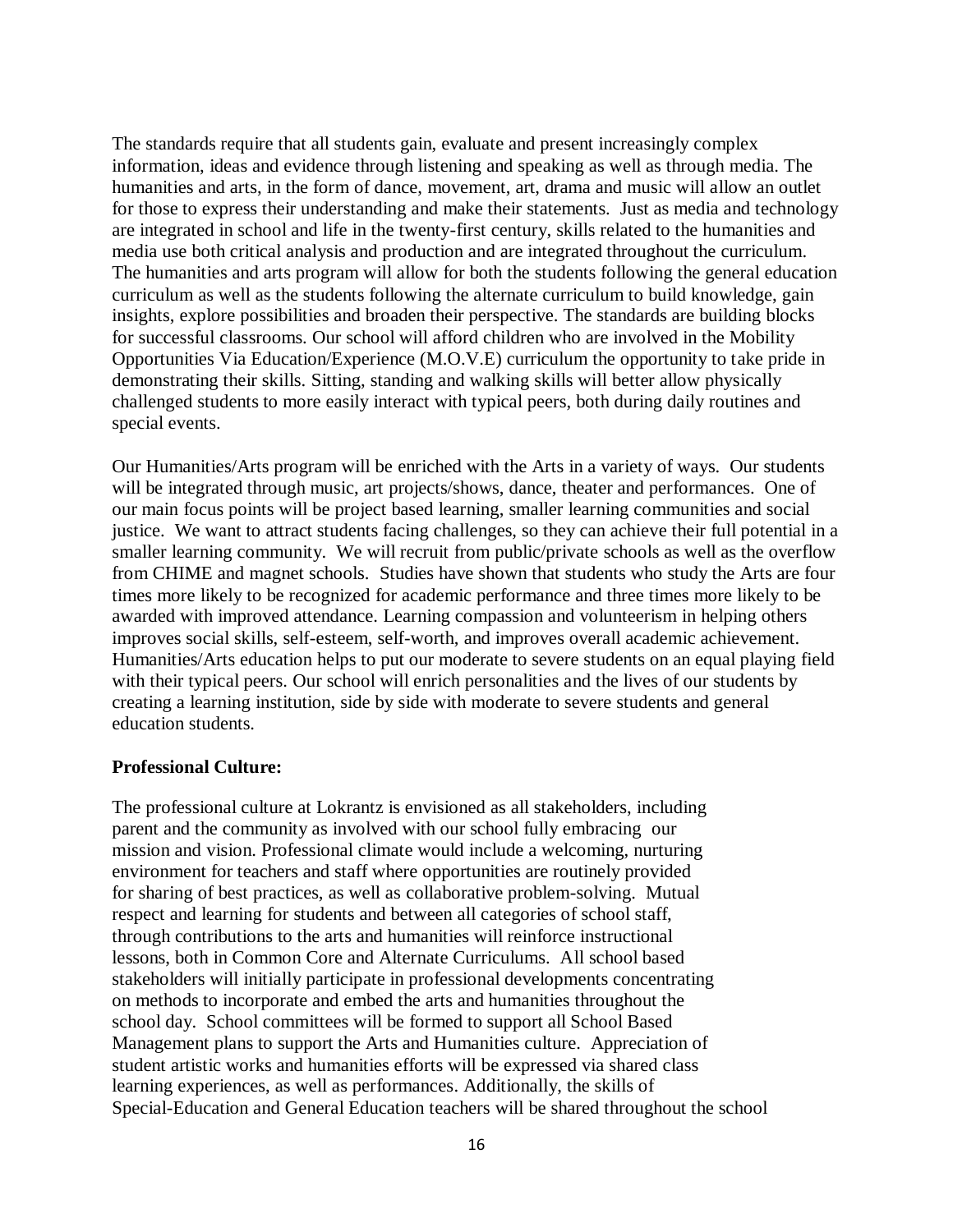The standards require that all students gain, evaluate and present increasingly complex information, ideas and evidence through listening and speaking as well as through media. The humanities and arts, in the form of dance, movement, art, drama and music will allow an outlet for those to express their understanding and make their statements. Just as media and technology are integrated in school and life in the twenty-first century, skills related to the humanities and media use both critical analysis and production and are integrated throughout the curriculum. The humanities and arts program will allow for both the students following the general education curriculum as well as the students following the alternate curriculum to build knowledge, gain insights, explore possibilities and broaden their perspective. The standards are building blocks for successful classrooms. Our school will afford children who are involved in the Mobility Opportunities Via Education/Experience (M.O.V.E) curriculum the opportunity to take pride in demonstrating their skills. Sitting, standing and walking skills will better allow physically challenged students to more easily interact with typical peers, both during daily routines and special events.

Our Humanities/Arts program will be enriched with the Arts in a variety of ways. Our students will be integrated through music, art projects/shows, dance, theater and performances. One of our main focus points will be project based learning, smaller learning communities and social justice. We want to attract students facing challenges, so they can achieve their full potential in a smaller learning community. We will recruit from public/private schools as well as the overflow from CHIME and magnet schools. Studies have shown that students who study the Arts are four times more likely to be recognized for academic performance and three times more likely to be awarded with improved attendance. Learning compassion and volunteerism in helping others improves social skills, self-esteem, self-worth, and improves overall academic achievement. Humanities/Arts education helps to put our moderate to severe students on an equal playing field with their typical peers. Our school will enrich personalities and the lives of our students by creating a learning institution, side by side with moderate to severe students and general education students.

#### **Professional Culture:**

The professional culture at Lokrantz is envisioned as all stakeholders, including parent and the community as involved with our school fully embracing our mission and vision. Professional climate would include a welcoming, nurturing environment for teachers and staff where opportunities are routinely provided for sharing of best practices, as well as collaborative problem-solving. Mutual respect and learning for students and between all categories of school staff, through contributions to the arts and humanities will reinforce instructional lessons, both in Common Core and Alternate Curriculums. All school based stakeholders will initially participate in professional developments concentrating on methods to incorporate and embed the arts and humanities throughout the school day. School committees will be formed to support all School Based Management plans to support the Arts and Humanities culture. Appreciation of student artistic works and humanities efforts will be expressed via shared class learning experiences, as well as performances. Additionally, the skills of Special-Education and General Education teachers will be shared throughout the school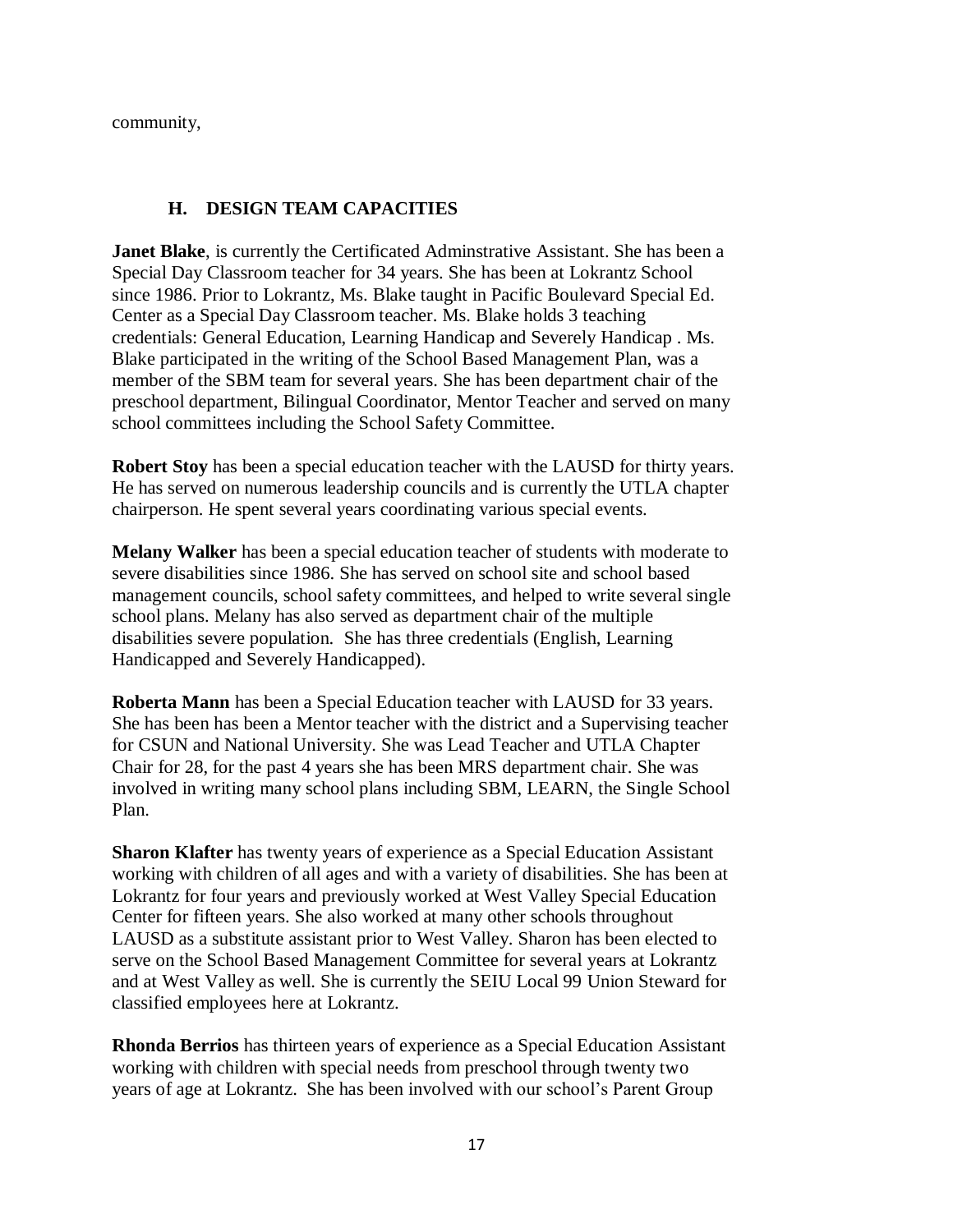community,

#### H. **H. DESIGN TEAM CAPACITIES**

**Janet Blake**, is currently the Certificated Adminstrative Assistant. She has been a Special Day Classroom teacher for 34 years. She has been at Lokrantz School since 1986. Prior to Lokrantz, Ms. Blake taught in Pacific Boulevard Special Ed. Center as a Special Day Classroom teacher. Ms. Blake holds 3 teaching credentials: General Education, Learning Handicap and Severely Handicap . Ms. Blake participated in the writing of the School Based Management Plan, was a member of the SBM team for several years. She has been department chair of the preschool department, Bilingual Coordinator, Mentor Teacher and served on many school committees including the School Safety Committee.

**Robert Stoy** has been a special education teacher with the LAUSD for thirty years. He has served on numerous leadership councils and is currently the UTLA chapter chairperson. He spent several years coordinating various special events.

**Melany Walker** has been a special education teacher of students with moderate to severe disabilities since 1986. She has served on school site and school based management councils, school safety committees, and helped to write several single school plans. Melany has also served as department chair of the multiple disabilities severe population. She has three credentials (English, Learning Handicapped and Severely Handicapped).

**Roberta Mann** has been a Special Education teacher with LAUSD for 33 years. She has been has been a Mentor teacher with the district and a Supervising teacher for CSUN and National University. She was Lead Teacher and UTLA Chapter Chair for 28, for the past 4 years she has been MRS department chair. She was involved in writing many school plans including SBM, LEARN, the Single School Plan.

**Sharon Klafter** has twenty years of experience as a Special Education Assistant working with children of all ages and with a variety of disabilities. She has been at Lokrantz for four years and previously worked at West Valley Special Education Center for fifteen years. She also worked at many other schools throughout LAUSD as a substitute assistant prior to West Valley. Sharon has been elected to serve on the School Based Management Committee for several years at Lokrantz and at West Valley as well. She is currently the SEIU Local 99 Union Steward for classified employees here at Lokrantz.

**Rhonda Berrios** has thirteen years of experience as a Special Education Assistant working with children with special needs from preschool through twenty two years of age at Lokrantz. She has been involved with our school's Parent Group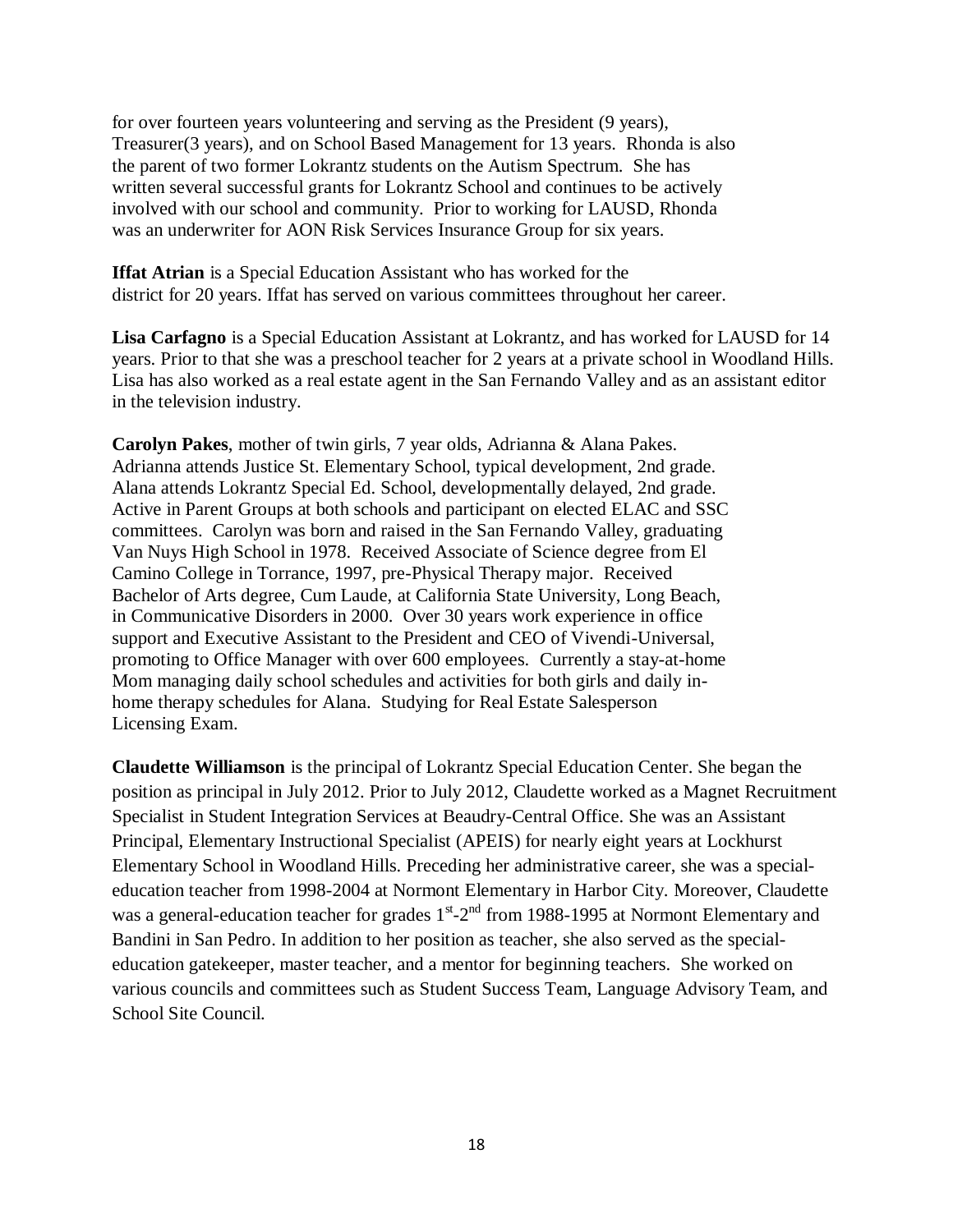for over fourteen years volunteering and serving as the President (9 years), Treasurer(3 years), and on School Based Management for 13 years. Rhonda is also the parent of two former Lokrantz students on the Autism Spectrum. She has written several successful grants for Lokrantz School and continues to be actively involved with our school and community. Prior to working for LAUSD, Rhonda was an underwriter for AON Risk Services Insurance Group for six years.

**Iffat Atrian** is a Special Education Assistant who has worked for the district for 20 years. Iffat has served on various committees throughout her career.

**Lisa Carfagno** is a Special Education Assistant at Lokrantz, and has worked for LAUSD for 14 years. Prior to that she was a preschool teacher for 2 years at a private school in Woodland Hills. Lisa has also worked as a real estate agent in the San Fernando Valley and as an assistant editor in the television industry.

**Carolyn Pakes**, mother of twin girls, 7 year olds, Adrianna & Alana Pakes. Adrianna attends Justice St. Elementary School, typical development, 2nd grade. Alana attends Lokrantz Special Ed. School, developmentally delayed, 2nd grade. Active in Parent Groups at both schools and participant on elected ELAC and SSC committees. Carolyn was born and raised in the San Fernando Valley, graduating Van Nuys High School in 1978. Received Associate of Science degree from El Camino College in Torrance, 1997, pre-Physical Therapy major. Received Bachelor of Arts degree, Cum Laude, at California State University, Long Beach, in Communicative Disorders in 2000. Over 30 years work experience in office support and Executive Assistant to the President and CEO of Vivendi-Universal, promoting to Office Manager with over 600 employees. Currently a stay-at-home Mom managing daily school schedules and activities for both girls and daily inhome therapy schedules for Alana. Studying for Real Estate Salesperson Licensing Exam.

**Claudette Williamson** is the principal of Lokrantz Special Education Center. She began the position as principal in July 2012. Prior to July 2012, Claudette worked as a Magnet Recruitment Specialist in Student Integration Services at Beaudry-Central Office. She was an Assistant Principal, Elementary Instructional Specialist (APEIS) for nearly eight years at Lockhurst Elementary School in Woodland Hills. Preceding her administrative career, she was a specialeducation teacher from 1998-2004 at Normont Elementary in Harbor City. Moreover, Claudette was a general-education teacher for grades 1<sup>st</sup>-2<sup>nd</sup> from 1988-1995 at Normont Elementary and Bandini in San Pedro. In addition to her position as teacher, she also served as the specialeducation gatekeeper, master teacher, and a mentor for beginning teachers. She worked on various councils and committees such as Student Success Team, Language Advisory Team, and School Site Council.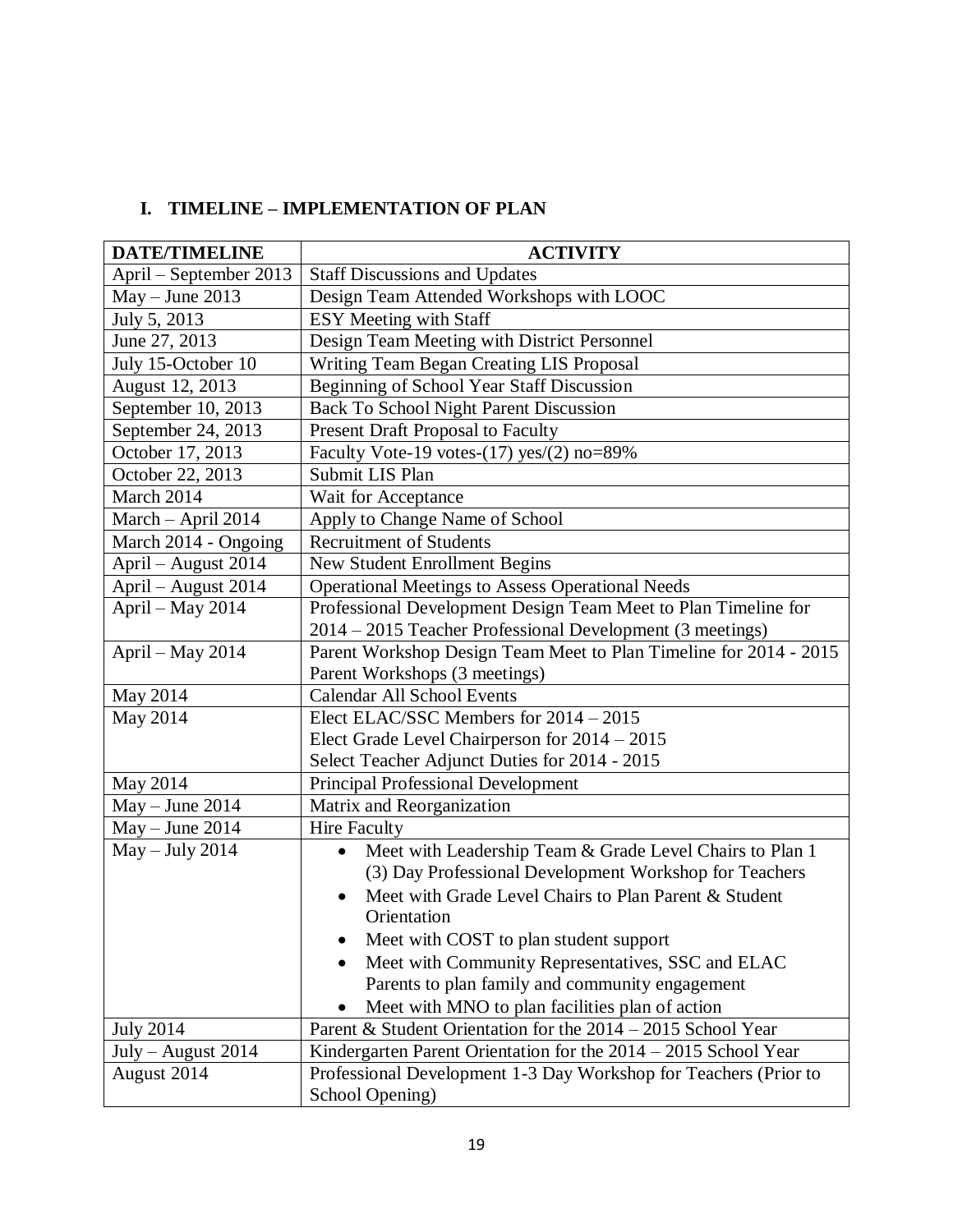# **I. TIMELINE – IMPLEMENTATION OF PLAN**

| <b>DATE/TIMELINE</b>   | <b>ACTIVITY</b>                                                       |  |  |  |
|------------------------|-----------------------------------------------------------------------|--|--|--|
| April – September 2013 | <b>Staff Discussions and Updates</b>                                  |  |  |  |
| $May - June 2013$      | Design Team Attended Workshops with LOOC                              |  |  |  |
| July 5, 2013           | ESY Meeting with Staff                                                |  |  |  |
| June 27, 2013          | Design Team Meeting with District Personnel                           |  |  |  |
| July 15-October 10     | Writing Team Began Creating LIS Proposal                              |  |  |  |
| August 12, 2013        | Beginning of School Year Staff Discussion                             |  |  |  |
| September 10, 2013     | Back To School Night Parent Discussion                                |  |  |  |
| September 24, 2013     | Present Draft Proposal to Faculty                                     |  |  |  |
| October 17, 2013       | Faculty Vote-19 votes- $(17)$ yes $/(2)$ no=89%                       |  |  |  |
| October 22, 2013       | Submit LIS Plan                                                       |  |  |  |
| March 2014             | Wait for Acceptance                                                   |  |  |  |
| March - April 2014     | Apply to Change Name of School                                        |  |  |  |
| March 2014 - Ongoing   | <b>Recruitment of Students</b>                                        |  |  |  |
| April - August 2014    | <b>New Student Enrollment Begins</b>                                  |  |  |  |
| April - August 2014    | <b>Operational Meetings to Assess Operational Needs</b>               |  |  |  |
| April - May 2014       | Professional Development Design Team Meet to Plan Timeline for        |  |  |  |
|                        | 2014 - 2015 Teacher Professional Development (3 meetings)             |  |  |  |
| April - May 2014       | Parent Workshop Design Team Meet to Plan Timeline for 2014 - 2015     |  |  |  |
|                        | Parent Workshops (3 meetings)                                         |  |  |  |
| May 2014               | <b>Calendar All School Events</b>                                     |  |  |  |
| May 2014               | Elect ELAC/SSC Members for 2014 - 2015                                |  |  |  |
|                        | Elect Grade Level Chairperson for 2014 - 2015                         |  |  |  |
|                        | Select Teacher Adjunct Duties for 2014 - 2015                         |  |  |  |
| May 2014               | <b>Principal Professional Development</b>                             |  |  |  |
| $May - June 2014$      | Matrix and Reorganization                                             |  |  |  |
| $May - June 2014$      | <b>Hire Faculty</b>                                                   |  |  |  |
| $May - July 2014$      | Meet with Leadership Team & Grade Level Chairs to Plan 1<br>$\bullet$ |  |  |  |
|                        | (3) Day Professional Development Workshop for Teachers                |  |  |  |
|                        | Meet with Grade Level Chairs to Plan Parent & Student                 |  |  |  |
|                        | Orientation                                                           |  |  |  |
|                        | Meet with COST to plan student support                                |  |  |  |
|                        | Meet with Community Representatives, SSC and ELAC                     |  |  |  |
|                        | Parents to plan family and community engagement                       |  |  |  |
|                        | Meet with MNO to plan facilities plan of action                       |  |  |  |
| <b>July 2014</b>       | Parent & Student Orientation for the 2014 – 2015 School Year          |  |  |  |
| $July - August 2014$   | Kindergarten Parent Orientation for the 2014 – 2015 School Year       |  |  |  |
| August 2014            | Professional Development 1-3 Day Workshop for Teachers (Prior to      |  |  |  |
|                        | School Opening)                                                       |  |  |  |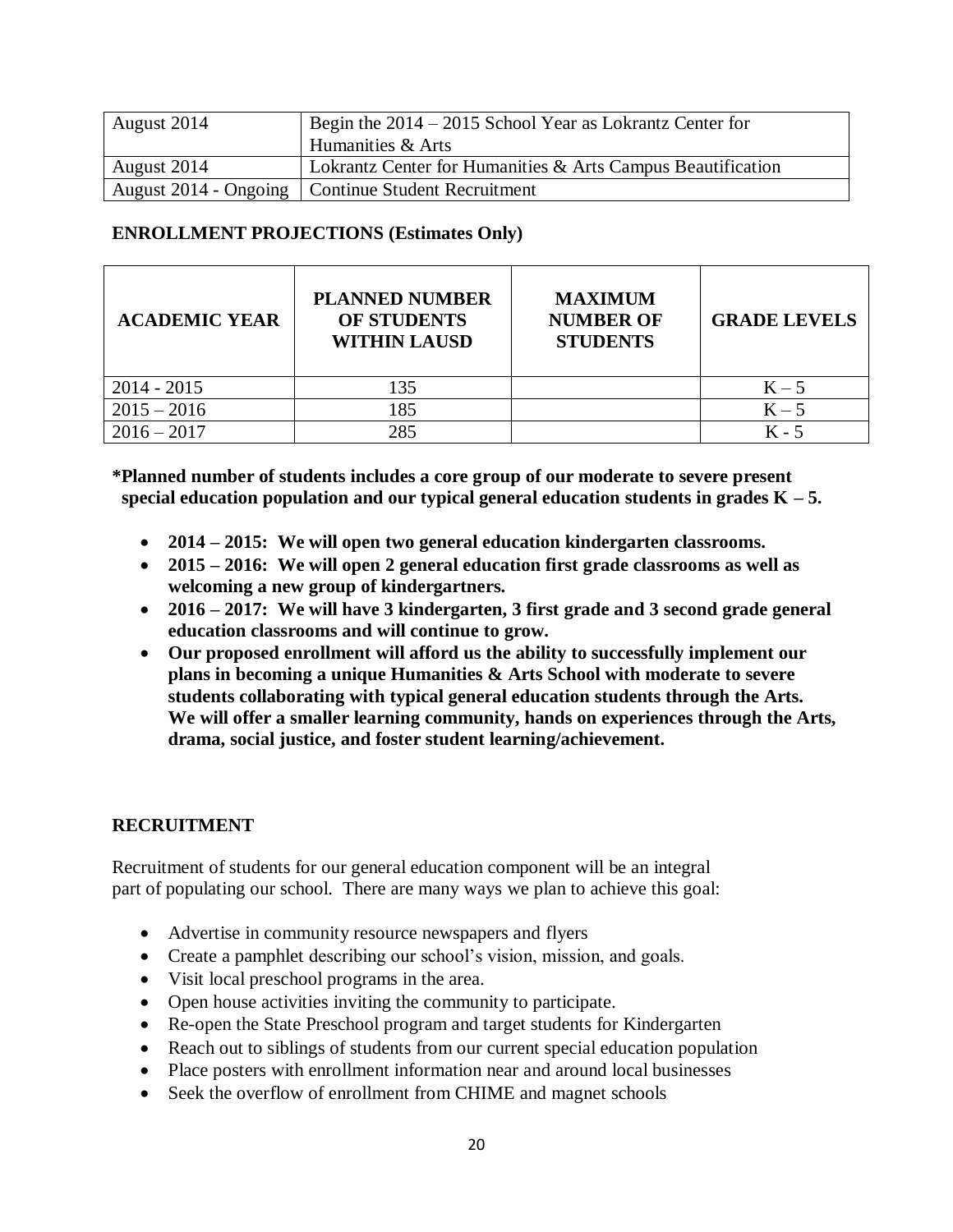| August 2014 | Begin the $2014 - 2015$ School Year as Lokrantz Center for  |  |  |
|-------------|-------------------------------------------------------------|--|--|
|             | Humanities & Arts                                           |  |  |
| August 2014 | Lokrantz Center for Humanities & Arts Campus Beautification |  |  |
|             | August 2014 - Ongoing   Continue Student Recruitment        |  |  |

#### **ENROLLMENT PROJECTIONS (Estimates Only)**

| <b>ACADEMIC YEAR</b> | <b>PLANNED NUMBER</b><br><b>OF STUDENTS</b><br><b>WITHIN LAUSD</b> | <b>MAXIMUM</b><br><b>NUMBER OF</b><br><b>STUDENTS</b> | <b>GRADE LEVELS</b> |
|----------------------|--------------------------------------------------------------------|-------------------------------------------------------|---------------------|
| $2014 - 2015$        | 135                                                                |                                                       | $K - 5$             |
| $2015 - 2016$        | 185                                                                |                                                       | $K - 5$             |
| $2016 - 2017$        | 285                                                                |                                                       | $K - 5$             |

**\*Planned number of students includes a core group of our moderate to severe present** special education population and our typical general education students in grades  $K - 5$ .

- **2014 – 2015: We will open two general education kindergarten classrooms.**
- **2015 – 2016: We will open 2 general education first grade classrooms as well as welcoming a new group of kindergartners.**
- **2016 – 2017: We will have 3 kindergarten, 3 first grade and 3 second grade general education classrooms and will continue to grow.**
- **Our proposed enrollment will afford us the ability to successfully implement our plans in becoming a unique Humanities & Arts School with moderate to severe students collaborating with typical general education students through the Arts. We will offer a smaller learning community, hands on experiences through the Arts, drama, social justice, and foster student learning/achievement.**

#### **RECRUITMENT**

Recruitment of students for our general education component will be an integral part of populating our school. There are many ways we plan to achieve this goal:

- Advertise in community resource newspapers and flyers
- Create a pamphlet describing our school's vision, mission, and goals.
- Visit local preschool programs in the area.
- Open house activities inviting the community to participate.
- Re-open the State Preschool program and target students for Kindergarten
- Reach out to siblings of students from our current special education population
- Place posters with enrollment information near and around local businesses
- Seek the overflow of enrollment from CHIME and magnet schools